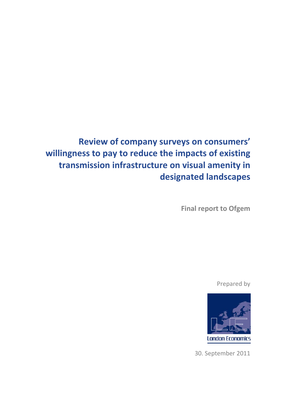# **Review of company surveys on consumers' willingness to pay to reduce the impacts of existing transmission infrastructure on visual amenity in designated landscapes**

**Final report to Ofgem**

Prepared by



30. September 2011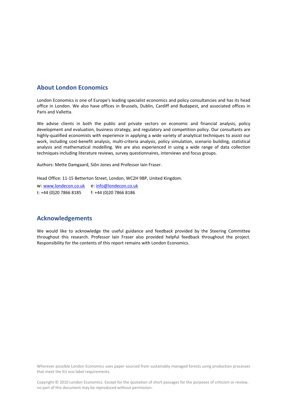## **About London Economics**

London Economics is one of Europe's leading specialist economics and policy consultancies and has its head office in London. We also have offices in Brussels, Dublin, Cardiff and Budapest, and associated offices in Paris and Valletta.

We advise clients in both the public and private sectors on economic and financial analysis, policy development and evaluation, business strategy, and regulatory and competition policy. Our consultants are highly‐qualified economists with experience in applying a wide variety of analytical techniques to assist our work, including cost-benefit analysis, multi-criteria analysis, policy simulation, scenario building, statistical analysis and mathematical modelling. We are also experienced in using a wide range of data collection techniques including literature reviews, survey questionnaires, interviews and focus groups.

Authors: Mette Damgaard, Siôn Jones and Professor Iain Fraser.

Head Office: 11‐15 Betterton Street, London, WC2H 9BP, United Kingdom.

w: www.londecon.co.uk e: info@londecon.co.uk t: +44 (0)20 7866 8185 f: +44 (0)20 7866 8186

## **Acknowledgements**

We would like to acknowledge the useful guidance and feedback provided by the Steering Committee throughout this research. Professor Iain Fraser also provided helpful feedback throughout the project. Responsibility for the contents of this report remains with London Economics.

Wherever possible London Economics uses paper sourced from sustainably managed forests using production processes that meet the EU eco‐label requirements.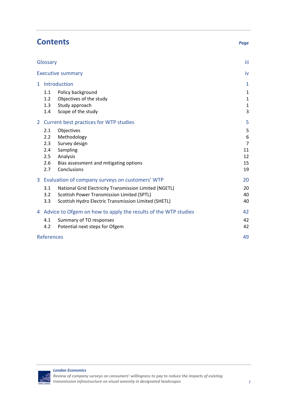|    |                                                                | <b>Contents</b>                                                                                                                                              | Page                                              |
|----|----------------------------------------------------------------|--------------------------------------------------------------------------------------------------------------------------------------------------------------|---------------------------------------------------|
|    | Glossary                                                       |                                                                                                                                                              | iii                                               |
|    |                                                                | <b>Executive summary</b>                                                                                                                                     | iv                                                |
| 1. | Introduction                                                   |                                                                                                                                                              | $\mathbf{1}$                                      |
|    | 1.1<br>1.2<br>1.3<br>1.4                                       | Policy background<br>Objectives of the study<br>Study approach<br>Scope of the study                                                                         | $\mathbf{1}$<br>$\mathbf{1}$<br>$\mathbf{1}$<br>3 |
| 2  | Current best practices for WTP studies                         |                                                                                                                                                              | 5                                                 |
|    | 2.1<br>2.2<br>2.3<br>2.4<br>2.5<br>2.6<br>2.7                  | Objectives<br>Methodology<br>Survey design<br>Sampling<br>Analysis<br>Bias assessment and mitigating options<br>Conclusions                                  | 5<br>6<br>$\overline{7}$<br>11<br>12<br>15<br>19  |
| 3  |                                                                | Evaluation of company surveys on customers' WTP                                                                                                              | 20                                                |
|    | 3.1<br>3.2<br>3.3                                              | National Grid Electricity Transmission Limited (NGETL)<br>Scottish Power Transmission Limited (SPTL)<br>Scottish Hydro Electric Transmission Limited (SHETL) | 20<br>40<br>40                                    |
| 4  | Advice to Ofgem on how to apply the results of the WTP studies |                                                                                                                                                              | 42                                                |
|    | 4.1<br>4.2                                                     | Summary of TO responses<br>Potential next steps for Ofgem                                                                                                    | 42<br>42                                          |
|    | <b>References</b>                                              |                                                                                                                                                              | 49                                                |

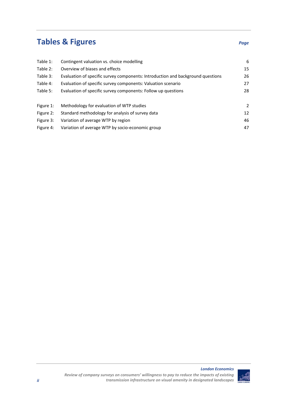# **Tables & Figures** *Page*

| Table 1:  | Contingent valuation vs. choice modelling                                       | 6              |
|-----------|---------------------------------------------------------------------------------|----------------|
| Table 2:  | Overview of biases and effects                                                  | 15             |
| Table 3:  | Evaluation of specific survey components: Introduction and background questions | 26             |
| Table 4:  | Evaluation of specific survey components: Valuation scenario                    | 27             |
| Table 5:  | Evaluation of specific survey components: Follow up questions                   | 28             |
| Figure 1: | Methodology for evaluation of WTP studies                                       | $\overline{2}$ |
| Figure 2: | Standard methodology for analysis of survey data                                | 12             |
| Figure 3: | Variation of average WTP by region                                              | 46             |
| Figure 4: | Variation of average WTP by socio-economic group                                | 47             |

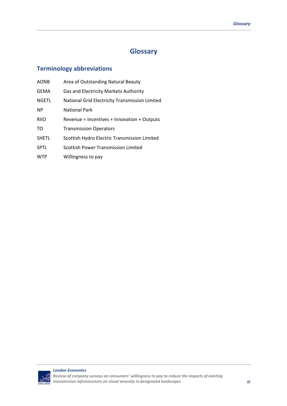## **Glossary**

## **Terminology abbreviations**

| <b>AONB</b>  | Area of Outstanding Natural Beauty             |
|--------------|------------------------------------------------|
| <b>GEMA</b>  | Gas and Electricity Markets Authority          |
| <b>NGETL</b> | National Grid Electricity Transmission Limited |
| <b>NP</b>    | <b>National Park</b>                           |
| <b>RIIO</b>  | Revenue = Incentives + Innovation + Outputs    |
| TO           | <b>Transmission Operators</b>                  |
| <b>SHETL</b> | Scottish Hydro Electric Transmission Limited   |
| <b>SPTL</b>  | Scottish Power Transmission Limited            |
| <b>WTP</b>   | Willingness to pay                             |
|              |                                                |

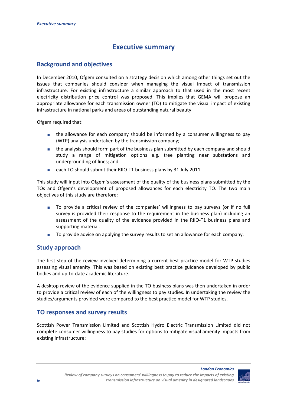## **Executive summary**

## **Background and objectives**

In December 2010, Ofgem consulted on a strategy decision which among other things set out the issues that companies should consider when managing the visual impact of transmission infrastructure. For existing infrastructure a similar approach to that used in the most recent electricity distribution price control was proposed. This implies that GEMA will propose an appropriate allowance for each transmission owner (TO) to mitigate the visual impact of existing infrastructure in national parks and areas of outstanding natural beauty.

Ofgem required that:

- **the allowance for each company should be informed by a consumer willingness to pay** (WTP) analysis undertaken by the transmission company;
- the analysis should form part of the business plan submitted by each company and should study a range of mitigation options e.g. tree planting near substations and undergrounding of lines; and
- each TO should submit their RIIO-T1 business plans by 31 July 2011.

This study will input into Ofgem's assessment of the quality of the business plans submitted by the TOs and Ofgem's development of proposed allowances for each electricity TO. The two main objectives of this study are therefore:

- To provide a critical review of the companies' willingness to pay surveys (or if no full survey is provided their response to the requirement in the business plan) including an assessment of the quality of the evidence provided in the RIIO‐T1 business plans and supporting material.
- To provide advice on applying the survey results to set an allowance for each company.

## **Study approach**

The first step of the review involved determining a current best practice model for WTP studies assessing visual amenity. This was based on existing best practice guidance developed by public bodies and up‐to‐date academic literature.

A desktop review of the evidence supplied in the TO business plans was then undertaken in order to provide a critical review of each of the willingness to pay studies. In undertaking the review the studies/arguments provided were compared to the best practice model for WTP studies.

## **TO responses and survey results**

Scottish Power Transmission Limited and Scottish Hydro Electric Transmission Limited did not complete consumer willingness to pay studies for options to mitigate visual amenity impacts from existing infrastructure:

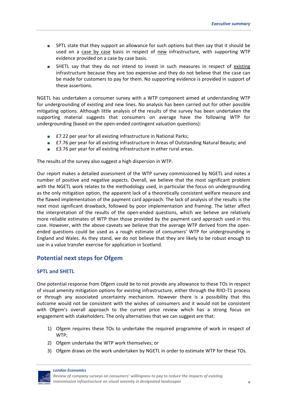- **SPTL** state that they support an allowance for such options but then say that it should be used on a case by case basis in respect of new infrastructure, with supporting WTP evidence provided on a case by case basis.
- SHETL say that they do not intend to invest in such measures in respect of existing infrastructure because they are too expensive and they do not believe that the case can be made for customers to pay for them. No supporting evidence is provided in support of these assertions.

NGETL has undertaken a consumer survey with a WTP component aimed at understanding WTP for undergrounding of existing and new lines. No analysis has been carried out for other possible mitigating options. Although little analysis of the results of the survey has been undertaken the supporting material suggests that consumers on average have the following WTP for undergrounding (based on the open‐ended contingent valuation questions):

- £7.22 per year for all existing infrastructure in National Parks;
- £7.76 per year for all existing infrastructure in Areas of Outstanding Natural Beauty; and
- £3.76 per year for all existing infrastructure in other rural areas.

The results of the survey also suggest a high dispersion in WTP.

Our report makes a detailed assessment of the WTP survey commissioned by NGETL and notes a number of positive and negative aspects. Overall, we believe that the most significant problem with the NGETL work relates to the methodology used, in particular the focus on undergrounding as the only mitigation option, the apparent lack of a theoretically consistent welfare measure and the flawed implementation of the payment card approach. The lack of analysis of the results is the next most significant drawback, followed by poor implementation and framing. The latter affect the interpretation of the results of the open‐ended questions, which we believe are relatively more reliable estimates of WTP than those provided by the payment card approach used in this case. However, with the above caveats we believe that the average WTP derived from the open‐ ended questions could be used as a rough estimate of consumers' WTP for undergrounding in England and Wales. As they stand, we do not believe that they are likely to be robust enough to use in a value transfer exercise for application in Scotland.

## **Potential next steps for Ofgem**

## **SPTL and SHETL**

One potential response from Ofgem could be to not provide any allowance to these TOs in respect of visual amenity mitigation options for existing infrastructure, either through the RIIO‐T1 process or through any associated uncertainty mechanism. However there is a possibility that this outcome would not be consistent with the wishes of consumers and it would not be consistent with Ofgem's overall approach to the current price review which has a strong focus on engagement with stakeholders. The only alternatives that we can suggest are that:

- 1) Ofgem requires these TOs to undertake the required programme of work in respect of WTP;
- 2) Ofgem undertake the WTP work themselves; or
- 3) Ofgem draws on the work undertaken by NGETL in order to estimate WTP for these TOs.

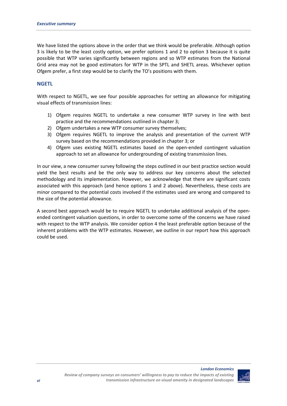We have listed the options above in the order that we think would be preferable. Although option 3 is likely to be the least costly option, we prefer options 1 and 2 to option 3 because it is quite possible that WTP varies significantly between regions and so WTP estimates from the National Grid area may not be good estimators for WTP in the SPTL and SHETL areas. Whichever option Ofgem prefer, a first step would be to clarify the TO's positions with them.

## **NGETL**

With respect to NGETL, we see four possible approaches for setting an allowance for mitigating visual effects of transmission lines:

- 1) Ofgem requires NGETL to undertake a new consumer WTP survey in line with best practice and the recommendations outlined in chapter 3;
- 2) Ofgem undertakes a new WTP consumer survey themselves;
- 3) Ofgem requires NGETL to improve the analysis and presentation of the current WTP survey based on the recommendations provided in chapter 3; or
- 4) Ofgem uses existing NGETL estimates based on the open-ended contingent valuation approach to set an allowance for undergrounding of existing transmission lines.

In our view, a new consumer survey following the steps outlined in our best practice section would yield the best results and be the only way to address our key concerns about the selected methodology and its implementation. However, we acknowledge that there are significant costs associated with this approach (and hence options 1 and 2 above). Nevertheless, these costs are minor compared to the potential costs involved if the estimates used are wrong and compared to the size of the potential allowance.

A second best approach would be to require NGETL to undertake additional analysis of the open‐ ended contingent valuation questions, in order to overcome some of the concerns we have raised with respect to the WTP analysis. We consider option 4 the least preferable option because of the inherent problems with the WTP estimates. However, we outline in our report how this approach could be used.

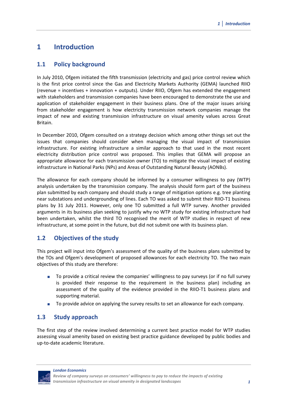## **1 Introduction**

## **1.1 Policy background**

In July 2010, Ofgem initiated the fifth transmission (electricity and gas) price control review which is the first price control since the Gas and Electricity Markets Authority (GEMA) launched RIIO (revenue = incentives + innovation + outputs). Under RIIO, Ofgem has extended the engagement with stakeholders and transmission companies have been encouraged to demonstrate the use and application of stakeholder engagement in their business plans. One of the major issues arising from stakeholder engagement is how electricity transmission network companies manage the impact of new and existing transmission infrastructure on visual amenity values across Great Britain.

In December 2010, Ofgem consulted on a strategy decision which among other things set out the issues that companies should consider when managing the visual impact of transmission infrastructure. For existing infrastructure a similar approach to that used in the most recent electricity distribution price control was proposed. This implies that GEMA will propose an appropriate allowance for each transmission owner (TO) to mitigate the visual impact of existing infrastructure in National Parks (NPs) and Areas of Outstanding Natural Beauty (AONBs).

The allowance for each company should be informed by a consumer willingness to pay (WTP) analysis undertaken by the transmission company. The analysis should form part of the business plan submitted by each company and should study a range of mitigation options e.g. tree planting near substations and undergrounding of lines. Each TO was asked to submit their RIIO‐T1 business plans by 31 July 2011. However, only one TO submitted a full WTP survey. Another provided arguments in its business plan seeking to justify why no WTP study for existing infrastructure had been undertaken, whilst the third TO recognised the merit of WTP studies in respect of new infrastructure, at some point in the future, but did not submit one with its business plan.

## **1.2 Objectives of the study**

This project will input into Ofgem's assessment of the quality of the business plans submitted by the TOs and Ofgem's development of proposed allowances for each electricity TO. The two main objectives of this study are therefore:

- To provide a critical review the companies' willingness to pay surveys (or if no full survey is provided their response to the requirement in the business plan) including an assessment of the quality of the evidence provided in the RIIO‐T1 business plans and supporting material.
- To provide advice on applying the survey results to set an allowance for each company.

## **1.3 Study approach**

The first step of the review involved determining a current best practice model for WTP studies assessing visual amenity based on existing best practice guidance developed by public bodies and up‐to‐date academic literature.

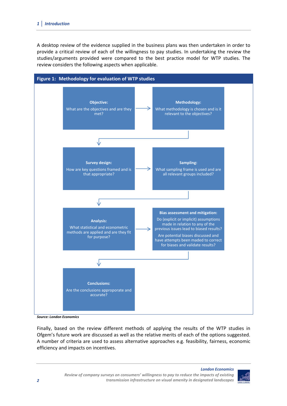A desktop review of the evidence supplied in the business plans was then undertaken in order to provide a critical review of each of the willingness to pay studies. In undertaking the review the studies/arguments provided were compared to the best practice model for WTP studies. The review considers the following aspects when applicable.



*Source: London Economics*

Finally, based on the review different methods of applying the results of the WTP studies in Ofgem's future work are discussed as well as the relative merits of each of the options suggested. A number of criteria are used to assess alternative approaches e.g. feasibility, fairness, economic efficiency and impacts on incentives.

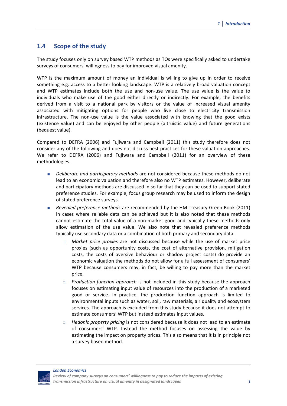## **1.4 Scope of the study**

The study focuses only on survey based WTP methods as TOs were specifically asked to undertake surveys of consumers' willingness to pay for improved visual amenity.

WTP is the maximum amount of money an individual is willing to give up in order to receive something e.g. access to a better looking landscape. WTP is a relatively broad valuation concept and WTP estimates include both the use and non‐use value. The use value is the value to individuals who make use of the good either directly or indirectly. For example, the benefits derived from a visit to a national park by visitors or the value of increased visual amenity associated with mitigating options for people who live close to electricity transmission infrastructure. The non‐use value is the value associated with knowing that the good exists (existence value) and can be enjoyed by other people (altruistic value) and future generations (bequest value).

Compared to DEFRA (2006) and Fujiwara and Campbell (2011) this study therefore does not consider any of the following and does not discuss best practices for these valuation approaches. We refer to DEFRA (2006) and Fujiwara and Campbell (2011) for an overview of these methodologies.

- *Deliberate and participatory methods* are not considered because these methods do not lead to an economic valuation and therefore also no WTP estimates. However, deliberate and participatory methods are discussed in so far that they can be used to support stated preference studies. For example, focus group research may be used to inform the design of stated preference surveys.
- *Revealed preference methods* are recommended by the HM Treasury Green Book (2011) in cases where reliable data can be achieved but it is also noted that these methods cannot estimate the total value of a non‐market good and typically these methods only allow estimation of the use value. We also note that revealed preference methods typically use secondary data or a combination of both primary and secondary data.
	- *Market price proxies* are not discussed because while the use of market price proxies (such as opportunity costs, the cost of alternative provision, mitigation costs, the costs of aversive behaviour or shadow project costs) do provide an economic valuation the methods do not allow for a full assessment of consumers' WTP because consumers may, in fact, be willing to pay more than the market price.
	- *Production function approach* is not included in this study because the approach focuses on estimating input value of resources into the production of a marketed good or service. In practice, the production function approach is limited to environmental inputs such as water, soil, raw materials, air quality and ecosystem services. The approach is excluded from this study because it does not attempt to estimate consumers' WTP but instead estimates input values.
	- *Hedonic property pricing* is not considered because it does not lead to an estimate of consumers' WTP. Instead the method focuses on assessing the value by estimating the impact on property prices. This also means that it is in principle not a survey based method.

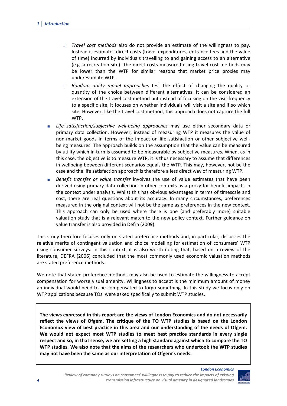- *Travel cost methods* also do not provide an estimate of the willingness to pay. Instead it estimates direct costs (travel expenditures, entrance fees and the value of time) incurred by individuals travelling to and gaining access to an alternative (e.g. a recreation site). The direct costs measured using travel cost methods may be lower than the WTP for similar reasons that market price proxies may underestimate WTP.
- *Random utility model approaches* test the effect of changing the quality or quantity of the choice between different alternatives. It can be considered an extension of the travel cost method but instead of focusing on the visit frequency to a specific site, it focuses on whether individuals will visit a site and if so which site. However, like the travel cost method, this approach does not capture the full WTP.
- *Life satisfaction/subjective well‐being approaches* may use either secondary data or primary data collection. However, instead of measuring WTP it measures the value of non-market goods in terms of the impact on life satisfaction or other subjective wellbeing measures. The approach builds on the assumption that the value can be measured by utility which in turn is assumed to be measurable by subjective measures. When, as in this case, the objective is to measure WTP, it is thus necessary to assume that differences in wellbeing between different scenarios equals the WTP. This may, however, not be the case and the life satisfaction approach is therefore a less direct way of measuring WTP.
- *Benefit transfer or value transfer* involves the use of value estimates that have been derived using primary data collection in other contexts as a proxy for benefit impacts in the context under analysis. Whilst this has obvious advantages in terms of timescale and cost, there are real questions about its accuracy. In many circumstances, preferences measured in the original context will not be the same as preferences in the new context. This approach can only be used where there is one (and preferably more) suitable valuation study that is a relevant match to the new policy context. Further guidance on value transfer is also provided in Defra (2009).

This study therefore focuses only on stated preference methods and, in particular, discusses the relative merits of contingent valuation and choice modelling for estimation of consumers' WTP using consumer surveys. In this context, it is also worth noting that, based on a review of the literature, DEFRA (2006) concluded that the most commonly used economic valuation methods are stated preference methods.

We note that stated preference methods may also be used to estimate the willingness to accept compensation for worse visual amenity. Willingness to accept is the minimum amount of money an individual would need to be compensated to forgo something. In this study we focus only on WTP applications because TOs were asked specifically to submit WTP studies.

**The views expressed in this report are the views of London Economics and do not necessarily reflect the views of Ofgem. The critique of the TO WTP studies is based on the London Economics view of best practice in this area and our understanding of the needs of Ofgem. We would not expect most WTP studies to meet best practice standards in every single respect and so, in that sense, we are setting a high standard against which to compare the TO WTP studies. We also note that the aims of the researchers who undertook the WTP studies may not have been the same as our interpretation of Ofgem's needs.**

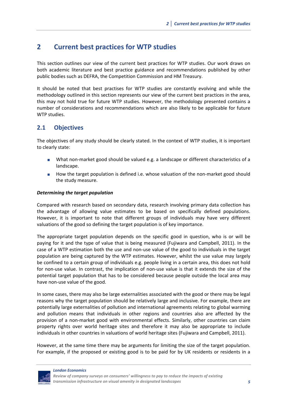## **2 Current best practices for WTP studies**

This section outlines our view of the current best practices for WTP studies. Our work draws on both academic literature and best practice guidance and recommendations published by other public bodies such as DEFRA, the Competition Commission and HM Treasury.

It should be noted that best practises for WTP studies are constantly evolving and while the methodology outlined in this section represents our view of the current best practices in the area, this may not hold true for future WTP studies. However, the methodology presented contains a number of considerations and recommendations which are also likely to be applicable for future WTP studies.

## **2.1 Objectives**

The objectives of any study should be clearly stated. In the context of WTP studies, it is important to clearly state:

- What non-market good should be valued e.g. a landscape or different characteristics of a landscape.
- How the target population is defined i.e. whose valuation of the non-market good should the study measure.

#### *Determining the target population*

Compared with research based on secondary data, research involving primary data collection has the advantage of allowing value estimates to be based on specifically defined populations. However, it is important to note that different groups of individuals may have very different valuations of the good so defining the target population is of key importance.

The appropriate target population depends on the specific good in question, who is or will be paying for it and the type of value that is being measured (Fujiwara and Campbell, 2011). In the case of a WTP estimation both the use and non‐use value of the good to individuals in the target population are being captured by the WTP estimates. However, whilst the use value may largely be confined to a certain group of individuals e.g. people living in a certain area, this does not hold for non-use value. In contrast, the implication of non-use value is that it extends the size of the potential target population that has to be considered because people outside the local area may have non‐use value of the good.

In some cases, there may also be large externalities associated with the good or there may be legal reasons why the target population should be relatively large and inclusive. For example, there are potentially large externalities of pollution and international agreements relating to global warming and pollution means that individuals in other regions and countries also are affected by the provision of a non‐market good with environmental effects. Similarly, other countries can claim property rights over world heritage sites and therefore it may also be appropriate to include individuals in other countries in valuations of world heritage sites (Fujiwara and Campbell, 2011).

However, at the same time there may be arguments for limiting the size of the target population. For example, if the proposed or existing good is to be paid for by UK residents or residents in a



*Review of company surveys on consumers' willingness to pay to reduce the impacts of existing transmission infrastructure on visual amenity in designated landscapes 5*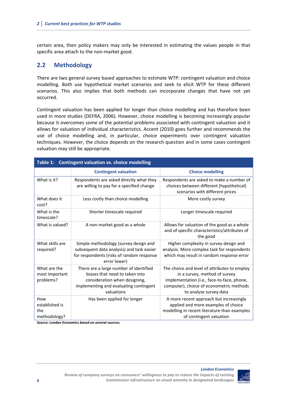certain area, then policy makers may only be interested in estimating the values people in that specific area attach to the non‐market good.

## **2.2 Methodology**

There are two general survey based approaches to estimate WTP: contingent valuation and choice modelling. Both use hypothetical market scenarios and seek to elicit WTP for these different scenarios. This also implies that both methods can incorporate changes that have not yet occurred.

Contingent valuation has been applied for longer than choice modelling and has therefore been used in more studies (DEFRA, 2006). However, choice modelling is becoming increasingly popular because it overcomes some of the potential problems associated with contingent valuation and it allows for valuation of individual characteristics. Accent (2010) goes further and recommends the use of choice modelling and, in particular, choice experiments over contingent valuation techniques. However, the choice depends on the research question and in some cases contingent valuation may still be appropriate.

| Table 1: Contingent valuation vs. choice modelling |                                                                                                                                                                   |                                                                                                                                                                                                   |  |
|----------------------------------------------------|-------------------------------------------------------------------------------------------------------------------------------------------------------------------|---------------------------------------------------------------------------------------------------------------------------------------------------------------------------------------------------|--|
|                                                    | <b>Contingent valuation</b>                                                                                                                                       | <b>Choice modelling</b>                                                                                                                                                                           |  |
| What is it?                                        | Respondents are asked directly what they<br>are willing to pay for a specified change                                                                             | Respondents are asked to make a number of<br>choices between different (hypothetical)<br>scenarios with different prices                                                                          |  |
| What does it<br>cost?                              | Less costly than choice modelling                                                                                                                                 | More costly survey                                                                                                                                                                                |  |
| What is the<br>timescale?                          | Shorter timescale required                                                                                                                                        | Longer timescale required                                                                                                                                                                         |  |
| What is valued?                                    | A non-market good as a whole                                                                                                                                      | Allows for valuation of the good as a whole<br>and of specific characteristics/attributes of<br>the good                                                                                          |  |
| What skills are<br>required?                       | Simple methodology (survey design and<br>subsequent data analysis) and task easier<br>for respondents (risks of random response<br>error lower)                   | Higher complexity in survey design and<br>analysis. More complex task for respondents<br>which may result in random response error                                                                |  |
| What are the<br>most important<br>problems?        | There are a large number of identified<br>biases that need to taken into<br>consideration when designing,<br>implementing and evaluating contingent<br>valuations | The choice and level of attributes to employ<br>in a survey, method of survey<br>implementation (i.e., face-to-face, phone,<br>computer), choice of econometric methods<br>to analyse survey data |  |
| How<br>established is<br>the<br>methodology?       | Has been applied for longer                                                                                                                                       | A more recent approach but increasingly<br>applied and more examples of choice<br>modelling in recent literature than examples<br>of contingent valuation                                         |  |

*Source: London Economics based on several sources.*

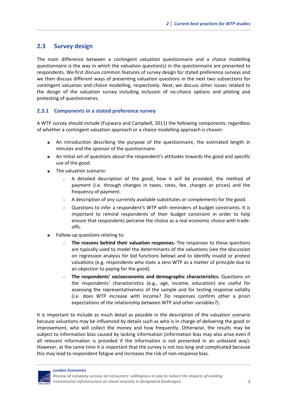## **2.3 Survey design**

The main difference between a contingent valuation questionnaire and a choice modelling questionnaire is the way in which the valuation question(s) in the questionnaire are presented to respondents. We first discuss common features of survey design for stated preference surveys and we then discuss different ways of presenting valuation questions in the next two subsections for contingent valuation and choice modelling, respectively. Next, we discuss other issues related to the design of the valuation survey including inclusion of no‐choice options and piloting and pretesting of questionnaires.

## **2.3.1 Components in a stated preference survey**

A WTP survey should include (Fujiwara and Campbell, 2011) the following components; regardless of whether a contingent valuation approach or a choice modelling approach is chosen:

- An introduction describing the purpose of the questionnaire, the estimated length in minutes and the sponsor of the questionnaire.
- An initial set of questions about the respondent's attitudes towards the good and specific use of the good.
- **The valuation scenario:** 
	- A detailed description of the good, how it will be provided, the method of payment (i.e. through changes in taxes, rates, fee, charges or prices) and the frequency of payment.
	- $\Box$  A description of any currently available substitutes or complements for the good.
	- Questions to infer a respondent's WTP with reminders of budget constraints. It is important to remind respondents of their budget constraint in order to help ensure that respondents perceive the choice as a real economic choice with trade‐ offs.
- Follow‐up questions relating to:
	- **The reasons behind their valuation responses.** The responses to these questions are typically used to model the determinants of the valuations (see the discussion on regression analysis for bid functions below) and to identify invalid or protest valuations (e.g. respondents who state a zero WTP as a matter of principle due to an objection to paying for the good).
	- **The respondents' socioeconomic and demographic characteristics.** Questions on the respondents' characteristics (e.g., age, income, education) are useful for assessing the representativeness of the sample and for testing response validity (i.e. does WTP increase with income? Do responses confirm other a priori expectations of the relationship between WTP and other variables?).

It is important to include as much detail as possible in the description of the valuation scenario because valuations may be influenced by details such as who is in charge of delivering the good or improvement, who will collect the money and how frequently. Otherwise, the results may be subject to information bias caused by lacking information (information bias may also arise even if all relevant information is provided if the information is not presented in an unbiased way). However, at the same time it is important that the survey is not too long and complicated because this may lead to respondent fatigue and increases the risk of non‐response bias.

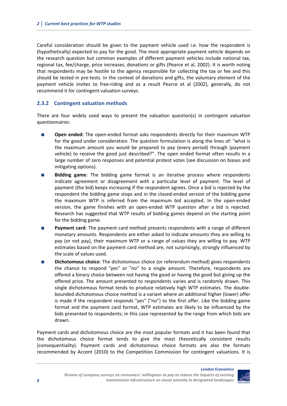Careful consideration should be given to the payment vehicle used i.e. how the respondent is (hypothetically) expected to pay for the good. The most appropriate payment vehicle depends on the research question but common examples of different payment vehicles include national tax, regional tax, fee/charge, price increases, donations or gifts (Pearce et al, 2002). It is worth noting that respondents may be hostile to the agency responsible for collecting the tax or fee and this should be tested in pre‐tests. In the context of donations and gifts, the voluntary element of the payment vehicle invites to free‐riding and as a result Pearce et al (2002), generally, do not recommend it for contingent valuation surveys.

## **2.3.2 Contingent valuation methods**

There are four widely used ways to present the valuation question(s) in contingent valuation questionnaires:

- **Open ended:** The open-ended format asks respondents directly for their maximum WTP for the good under consideration. The question formulation is along the lines of: "what is the maximum amount you would be prepared to pay (every period) through (payment vehicle) to receive the good just described?". The open ended format often results in a large number of zero responses and potential protest votes (see discussion on biases and mitigating options).
- **Bidding game**: The bidding game format is an iterative process where respondents indicate agreement or disagreement with a particular level of payment. The level of payment (the bid) keeps increasing if the respondent agrees. Once a bid is rejected by the respondent the bidding game stops and in the closed‐ended version of the bidding game the maximum WTP is inferred from the maximum bid accepted. In the open-ended version, the game finishes with an open‐ended WTP question after a bid is rejected. Research has suggested that WTP results of bidding games depend on the starting point for the bidding game.
- **Payment card**: The payment card method presents respondents with a range of different monetary amounts. Respondents are either asked to indicate amounts they are willing to pay (or not pay), their maximum WTP or a range of values they are willing to pay. WTP estimates based on the payment card method are, not surprisingly, strongly influenced by the scale of values used.
- **Dichotomous choice**: The dichotomous choice (or referendum method) gives respondents the chance to respond "yes" or "no" to a single amount. Therefore, respondents are offered a binary choice between not having the good or having the good but giving up the offered price. The amount presented to respondents varies and is randomly drawn. This single dichotomous format tends to produce relatively high WTP estimates. The double‐ bounded dichotomous choice method is a variant where an additional higher (lower) offer is made if the respondent responds "yes" ("no") to the first offer. Like the bidding game format and the payment card format, WTP estimates are likely to be influenced by the bids presented to respondents; in this case represented by the range from which bids are drawn.

Payment cards and dichotomous choice are the most popular formats and it has been found that the dichotomous choice format tends to give the most theoretically consistent results (consequentiality). Payment cards and dichotomous choice formats are also the formats recommended by Accent (2010) to the Competition Commission for contingent valuations. It is

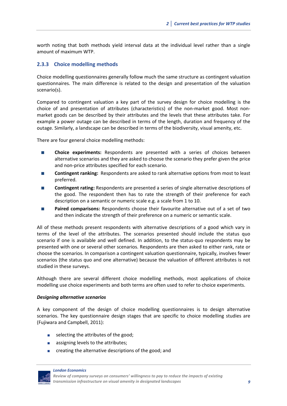worth noting that both methods yield interval data at the individual level rather than a single amount of maximum WTP.

## **2.3.3 Choice modelling methods**

Choice modelling questionnaires generally follow much the same structure as contingent valuation questionnaires. The main difference is related to the design and presentation of the valuation scenario(s).

Compared to contingent valuation a key part of the survey design for choice modelling is the choice of and presentation of attributes (characteristics) of the non‐market good. Most non‐ market goods can be described by their attributes and the levels that these attributes take. For example a power outage can be described in terms of the length, duration and frequency of the outage. Similarly, a landscape can be described in terms of the biodiversity, visual amenity, etc.

There are four general choice modelling methods:

- **Choice experiments:** Respondents are presented with a series of choices between alternative scenarios and they are asked to choose the scenario they prefer given the price and non‐price attributes specified for each scenario.
- **Contingent ranking:** Respondents are asked to rank alternative options from most to least preferred.
- **Contingent rating:** Respondents are presented a series of single alternative descriptions of the good. The respondent then has to rate the strength of their preference for each description on a semantic or numeric scale e.g. a scale from 1 to 10.
- **Paired comparisons:** Respondents choose their favourite alternative out of a set of two and then indicate the strength of their preference on a numeric or semantic scale.

All of these methods present respondents with alternative descriptions of a good which vary in terms of the level of the attributes. The scenarios presented should include the status quo scenario if one is available and well defined. In addition, to the status-quo respondents may be presented with one or several other scenarios. Respondents are then asked to either rank, rate or choose the scenarios. In comparison a contingent valuation questionnaire, typically, involves fewer scenarios (the status quo and one alternative) because the valuation of different attributes is not studied in these surveys.

Although there are several different choice modelling methods, most applications of choice modelling use choice experiments and both terms are often used to refer to choice experiments.

#### *Designing alternative scenarios*

A key component of the design of choice modelling questionnaires is to design alternative scenarios. The key questionnaire design stages that are specific to choice modelling studies are (Fujiwara and Campbell, 2011):

- selecting the attributes of the good;
- **a** assigning levels to the attributes;
- **EXECTE 20 IN 2018 Creating the alternative descriptions of the good; and**

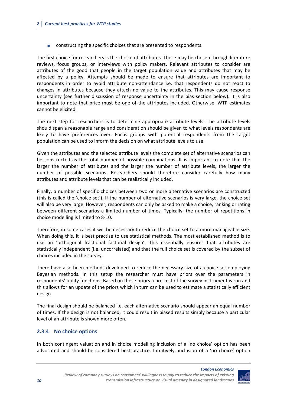constructing the specific choices that are presented to respondents.

The first choice for researchers is the choice of attributes. These may be chosen through literature reviews, focus groups, or interviews with policy makers. Relevant attributes to consider are attributes of the good that people in the target population value and attributes that may be affected by a policy. Attempts should be made to ensure that attributes are important to respondents in order to avoid attribute non‐attendance i.e. that respondents do not react to changes in attributes because they attach no value to the attributes. This may cause response uncertainty (see further discussion of response uncertainty in the bias section below). It is also important to note that price must be one of the attributes included. Otherwise, WTP estimates cannot be elicited.

The next step for researchers is to determine appropriate attribute levels. The attribute levels should span a reasonable range and consideration should be given to what levels respondents are likely to have preferences over. Focus groups with potential respondents from the target population can be used to inform the decision on what attribute levels to use.

Given the attributes and the selected attribute levels the complete set of alternative scenarios can be constructed as the total number of possible combinations. It is important to note that the larger the number of attributes and the larger the number of attribute levels, the larger the number of possible scenarios. Researchers should therefore consider carefully how many attributes and attribute levels that can be realistically included.

Finally, a number of specific choices between two or more alternative scenarios are constructed (this is called the 'choice set'). If the number of alternative scenarios is very large, the choice set will also be very large. However, respondents can only be asked to make a choice, ranking or rating between different scenarios a limited number of times. Typically, the number of repetitions in choice modelling is limited to 8‐10.

Therefore, in some cases it will be necessary to reduce the choice set to a more manageable size. When doing this, it is best practise to use statistical methods. The most established method is to use an 'orthogonal fractional factorial design'. This essentially ensures that attributes are statistically independent (i.e. uncorrelated) and that the full choice set is covered by the subset of choices included in the survey.

There have also been methods developed to reduce the necessary size of a choice set employing Bayesian methods. In this setup the researcher must have priors over the parameters in respondents' utility functions. Based on these priors a pre-test of the survey instrument is run and this allows for an update of the priors which in turn can be used to estimate a statistically efficient design.

The final design should be balanced i.e. each alternative scenario should appear an equal number of times. If the design is not balanced, it could result in biased results simply because a particular level of an attribute is shown more often.

## **2.3.4 No choice options**

In both contingent valuation and in choice modelling inclusion of a 'no choice' option has been advocated and should be considered best practice. Intuitively, inclusion of a 'no choice' option

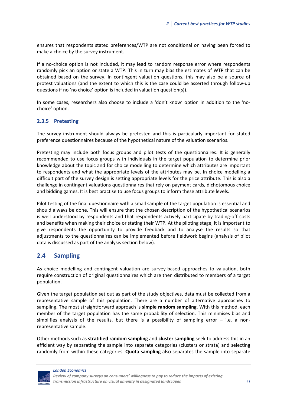ensures that respondents stated preferences/WTP are not conditional on having been forced to make a choice by the survey instrument.

If a no-choice option is not included, it may lead to random response error where respondents randomly pick an option or state a WTP. This in turn may bias the estimates of WTP that can be obtained based on the survey. In contingent valuation questions, this may also be a source of protest valuations (and the extent to which this is the case could be asserted through follow‐up questions if no 'no choice' option is included in valuation question(s)).

In some cases, researchers also choose to include a 'don't know' option in addition to the 'nochoice' option.

## **2.3.5 Pretesting**

The survey instrument should always be pretested and this is particularly important for stated preference questionnaires because of the hypothetical nature of the valuation scenarios.

Pretesting may include both focus groups and pilot tests of the questionnaires. It is generally recommended to use focus groups with individuals in the target population to determine prior knowledge about the topic and for choice modelling to determine which attributes are important to respondents and what the appropriate levels of the attributes may be. In choice modelling a difficult part of the survey design is setting appropriate levels for the price attribute. This is also a challenge in contingent valuations questionnaires that rely on payment cards, dichotomous choice and bidding games. It is best practise to use focus groups to inform these attribute levels.

Pilot testing of the final questionnaire with a small sample of the target population is essential and should always be done. This will ensure that the chosen description of the hypothetical scenarios is well understood by respondents and that respondents actively participate by trading‐off costs and benefits when making their choice or stating their WTP. At the piloting stage, it is important to give respondents the opportunity to provide feedback and to analyse the results so that adjustments to the questionnaires can be implemented before fieldwork begins (analysis of pilot data is discussed as part of the analysis section below).

## **2.4 Sampling**

As choice modelling and contingent valuation are survey-based approaches to valuation, both require construction of original questionnaires which are then distributed to members of a target population.

Given the target population set out as part of the study objectives, data must be collected from a representative sample of this population. There are a number of alternative approaches to sampling. The most straightforward approach is **simple random sampling**. With this method, each member of the target population has the same probability of selection. This minimises bias and simplifies analysis of the results, but there is a possibility of sampling error  $-$  i.e. a nonrepresentative sample.

Other methods such as **stratified random sampling** and **cluster sampling** seek to address this in an efficient way by separating the sample into separate categories (clusters or strata) and selecting randomly from within these categories. **Quota sampling** also separates the sample into separate

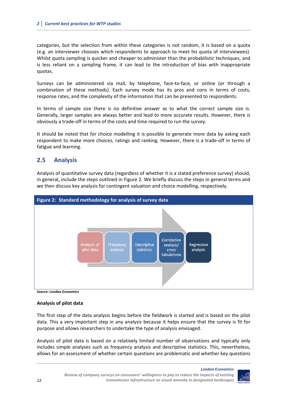categories, but the selection from within these categories is not random, it is based on a quota (e.g. an interviewer chooses which respondents to approach to meet his quota of interviewees). Whilst quota sampling is quicker and cheaper to administer than the probabilistic techniques, and is less reliant on a sampling frame, it can lead to the introduction of bias with inappropriate quotas.

Surveys can be administered via mail, by telephone, face‐to‐face, or online (or through a combination of these methods). Each survey mode has its pros and cons in terms of costs, response rates, and the complexity of the information that can be presented to respondents.

In terms of sample size there is no definitive answer as to what the correct sample size is. Generally, larger samples are always better and lead to more accurate results. However, there is obviously a trade‐off in terms of the costs and time required to run the survey.

It should be noted that for choice modelling it is possible to generate more data by asking each respondent to make more choices, ratings and ranking. However, there is a trade‐off in terms of fatigue and learning.

## **2.5 Analysis**

Analysis of quantitative survey data (regardless of whether it is a stated preference survey) should, in general, include the steps outlined in Figure 2. We briefly discuss the steps in general terms and we then discuss key analysis for contingent valuation and choice modelling, respectively.





## **Analysis of pilot data**

The first step of the data analysis begins before the fieldwork is started and is based on the pilot data. This a very important step in any analysis because it helps ensure that the survey is fit for purpose and allows researchers to undertake the type of analysis envisaged.

Analysis of pilot data is based on a relatively limited number of observations and typically only includes simple analyses such as frequency analysis and descriptive statistics. This, nevertheless, allows for an assessment of whether certain questions are problematic and whether key questions

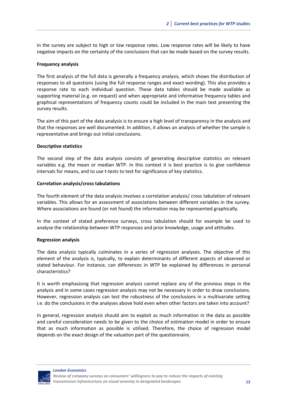in the survey are subject to high or low response rates. Low response rates will be likely to have negative impacts on the certainty of the conclusions that can be made based on the survey results.

#### **Frequency analysis**

The first analysis of the full data is generally a frequency analysis, which shows the distribution of responses to all questions (using the full response ranges and exact wording). This also provides a response rate to each individual question. These data tables should be made available as supporting material (e.g. on request) and when appropriate and informative frequency tables and graphical representations of frequency counts could be included in the main text presenting the survey results.

The aim of this part of the data analysis is to ensure a high level of transparency in the analysis and that the responses are well documented. In addition, it allows an analysis of whether the sample is representative and brings out initial conclusions.

#### **Descriptive statistics**

The second step of the data analysis consists of generating descriptive statistics on relevant variables e.g. the mean or median WTP. In this context it is best practice is to give confidence intervals for means, and to use t-tests to test for significance of key statistics.

#### **Correlation analysis/cross tabulations**

The fourth element of the data analysis involves a correlation analysis/ cross tabulation of relevant variables. This allows for an assessment of associations between different variables in the survey. Where associations are found (or not found) the information may be represented graphically.

In the context of stated preference surveys, cross tabulation should for example be used to analyse the relationship between WTP responses and prior knowledge, usage and attitudes.

#### **Regression analysis**

The data analysis typically culminates in a series of regression analyses. The objective of this element of the analysis is, typically, to explain determinants of different aspects of observed or stated behaviour. For instance, can differences in WTP be explained by differences in personal characteristics?

It is worth emphasising that regression analysis cannot replace any of the previous steps in the analysis and in some cases regression analysis may not be necessary in order to draw conclusions. However, regression analysis can test the robustness of the conclusions in a multivariate setting i.e. do the conclusions in the analyses above hold even when other factors are taken into account?

In general, regression analysis should aim to exploit as much information in the data as possible and careful consideration needs to be given to the choice of estimation model in order to ensure that as much information as possible is utilised. Therefore, the choice of regression model depends on the exact design of the valuation part of the questionnaire.

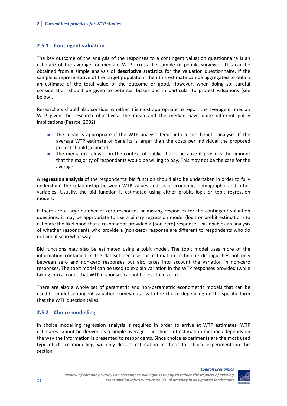## **2.5.1 Contingent valuation**

The key outcome of the analysis of the responses to a contingent valuation questionnaire is an estimate of the average (or median) WTP across the sample of people surveyed. This can be obtained from a simple analysis of **descriptive statistics** for the valuation questionnaire. If the sample is representative of the target population, then this estimate can be aggregated to obtain an estimate of the total value of the outcome or good. However, when doing so, careful consideration should be given to potential biases and in particular to protest valuations (see below).

Researchers should also consider whether it is most appropriate to report the average or median WTP given the research objectives. The mean and the median have quite different policy implications (Pearce, 2002):

- The mean is appropriate if the WTP analysis feeds into a cost-benefit analysis. If the average WTP estimate of benefits is larger than the costs per individual the proposed project should go ahead.
- The median is relevant in the context of public choice because it provides the amount that the majority of respondents would be willing to pay. This may not be the case for the average.

A **regression analysis** of the respondents' bid function should also be undertaken in order to fully understand the relationship between WTP values and socio-economic, demographic and other variables. Usually, the bid function is estimated using either probit, logit or tobit regression models.

If there are a large number of zero‐responses or missing responses for the contingent valuation questions, it may be appropriate to use a binary regression model (logit or probit estimation) to estimate the likelihood that a respondent provided a (non-zero) response. This enables an analysis of whether respondents who provide a (non‐zero) response are different to respondents who do not and if so in what way.

Bid functions may also be estimated using a tobit model. The tobit model uses more of the information contained in the dataset because the estimation technique distinguishes not only between zero and non-zero responses but also takes into account the variation in non-zero responses. The tobit model can be used to explain variation in the WTP responses provided (while taking into account that WTP responses cannot be less than zero).

There are also a whole set of parametric and non-parametric econometric models that can be used to model contingent valuation survey data, with the choice depending on the specific form that the WTP question takes.

## **2.5.2 Choice modelling**

In choice modelling regression analysis is required in order to arrive at WTP estimates. WTP estimates cannot be derived as a simple average. The choice of estimation methods depends on the way the information is presented to respondents. Since choice experiments are the most used type of choice modelling, we only discuss estimation methods for choice experiments in this section.

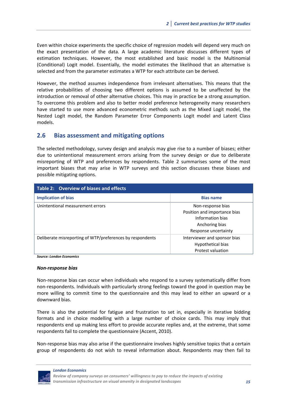Even within choice experiments the specific choice of regression models will depend very much on the exact presentation of the data. A large academic literature discusses different types of estimation techniques. However, the most established and basic model is the Multinomial (Conditional) Logit model. Essentially, the model estimates the likelihood that an alternative is selected and from the parameter estimates a WTP for each attribute can be derived.

However, the method assumes independence from irrelevant alternatives. This means that the relative probabilities of choosing two different options is assumed to be unaffected by the introduction or removal of other alternative choices. This may in practice be a strong assumption. To overcome this problem and also to better model preference heterogeneity many researchers have started to use more advanced econometric methods such as the Mixed Logit model, the Nested Logit model, the Random Parameter Error Components Logit model and Latent Class models.

## **2.6 Bias assessment and mitigating options**

The selected methodology, survey design and analysis may give rise to a number of biases; either due to unintentional measurement errors arising from the survey design or due to deliberate misreporting of WTP and preferences by respondents. Table 2 summarises some of the most important biases that may arise in WTP surveys and this section discusses these biases and possible mitigating options.

| Table 2: Overview of biases and effects                   |                                                                                                                 |  |  |
|-----------------------------------------------------------|-----------------------------------------------------------------------------------------------------------------|--|--|
| <b>Implication of bias</b>                                | <b>Bias name</b>                                                                                                |  |  |
| Unintentional measurement errors                          | Non-response bias<br>Position and importance bias<br>Information bias<br>Anchoring bias<br>Response uncertainty |  |  |
| Deliberate misreporting of WTP/preferences by respondents | Interviewer and sponsor bias<br>Hypothetical bias<br>Protest valuation                                          |  |  |

*Source: London Economics*

#### *Non‐response bias*

Non-response bias can occur when individuals who respond to a survey systematically differ from non‐respondents. Individuals with particularly strong feelings toward the good in question may be more willing to commit time to the questionnaire and this may lead to either an upward or a downward bias.

There is also the potential for fatigue and frustration to set in, especially in iterative bidding formats and in choice modelling with a large number of choice cards. This may imply that respondents end up making less effort to provide accurate replies and, at the extreme, that some respondents fail to complete the questionnaire (Accent, 2010).

Non-response bias may also arise if the questionnaire involves highly sensitive topics that a certain group of respondents do not wish to reveal information about. Respondents may then fail to

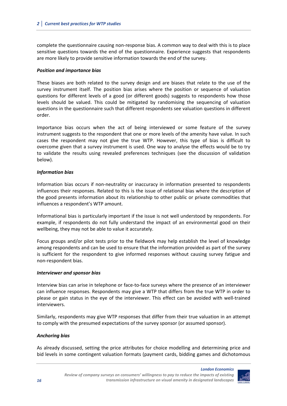complete the questionnaire causing non‐response bias. A common way to deal with this is to place sensitive questions towards the end of the questionnaire. Experience suggests that respondents are more likely to provide sensitive information towards the end of the survey.

## *Position and importance bias*

These biases are both related to the survey design and are biases that relate to the use of the survey instrument itself. The position bias arises where the position or sequence of valuation questions for different levels of a good (or different goods) suggests to respondents how those levels should be valued. This could be mitigated by randomising the sequencing of valuation questions in the questionnaire such that different respondents see valuation questions in different order.

Importance bias occurs when the act of being interviewed or some feature of the survey instrument suggests to the respondent that one or more levels of the amenity have value. In such cases the respondent may not give the true WTP. However, this type of bias is difficult to overcome given that a survey instrument is used. One way to analyse the effects would be to try to validate the results using revealed preferences techniques (see the discussion of validation below).

## *Information bias*

Information bias occurs if non‐neutrality or inaccuracy in information presented to respondents influences their responses. Related to this is the issue of relational bias where the description of the good presents information about its relationship to other public or private commodities that influences a respondent's WTP amount.

Informational bias is particularly important if the issue is not well understood by respondents. For example, if respondents do not fully understand the impact of an environmental good on their wellbeing, they may not be able to value it accurately.

Focus groups and/or pilot tests prior to the fieldwork may help establish the level of knowledge among respondents and can be used to ensure that the information provided as part of the survey is sufficient for the respondent to give informed responses without causing survey fatigue and non‐respondent bias.

## *Interviewer and sponsor bias*

Interview bias can arise in telephone or face‐to‐face surveys where the presence of an interviewer can influence responses. Respondents may give a WTP that differs from the true WTP in order to please or gain status in the eye of the interviewer. This effect can be avoided with well‐trained interviewers.

Similarly, respondents may give WTP responses that differ from their true valuation in an attempt to comply with the presumed expectations of the survey sponsor (or assumed sponsor).

## *Anchoring bias*

As already discussed, setting the price attributes for choice modelling and determining price and bid levels in some contingent valuation formats (payment cards, bidding games and dichotomous

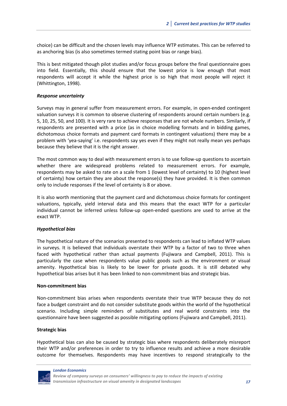choice) can be difficult and the chosen levels may influence WTP estimates. This can be referred to as anchoring bias (is also sometimes termed stating point bias or range bias).

This is best mitigated though pilot studies and/or focus groups before the final questionnaire goes into field. Essentially, this should ensure that the lowest price is low enough that most respondents will accept it while the highest price is so high that most people will reject it (Whittington, 1998).

#### *Response uncertainty*

Surveys may in general suffer from measurement errors. For example, in open-ended contingent valuation surveys it is common to observe clustering of respondents around certain numbers (e.g. 5, 10, 25, 50, and 100). It is very rare to achieve responses that are not whole numbers. Similarly, if respondents are presented with a price (as in choice modelling formats and in bidding games, dichotomous choice formats and payment card formats in contingent valuations) there may be a problem with 'yea-saying' i.e. respondents say yes even if they might not really mean yes perhaps because they believe that it is the right answer.

The most common way to deal with measurement errors is to use follow-up questions to ascertain whether there are widespread problems related to measurement errors. For example, respondents may be asked to rate on a scale from 1 (lowest level of certainty) to 10 (highest level of certainty) how certain they are about the response(s) they have provided. It is then common only to include responses if the level of certainty is 8 or above.

It is also worth mentioning that the payment card and dichotomous choice formats for contingent valuations, typically, yield interval data and this means that the exact WTP for a particular individual cannot be inferred unless follow‐up open‐ended questions are used to arrive at the exact WTP.

#### *Hypothetical bias*

The hypothetical nature of the scenarios presented to respondents can lead to inflated WTP values in surveys. It is believed that individuals overstate their WTP by a factor of two to three when faced with hypothetical rather than actual payments (Fujiwara and Campbell, 2011). This is particularly the case when respondents value public goods such as the environment or visual amenity. Hypothetical bias is likely to be lower for private goods. It is still debated why hypothetical bias arises but it has been linked to non‐commitment bias and strategic bias.

#### **Non‐commitment bias**

Non‐commitment bias arises when respondents overstate their true WTP because they do not face a budget constraint and do not consider substitute goods within the world of the hypothetical scenario. Including simple reminders of substitutes and real world constraints into the questionnaire have been suggested as possible mitigating options (Fujiwara and Campbell, 2011).

#### **Strategic bias**

Hypothetical bias can also be caused by strategic bias where respondents deliberately misreport their WTP and/or preferences in order to try to influence results and achieve a more desirable outcome for themselves. Respondents may have incentives to respond strategically to the

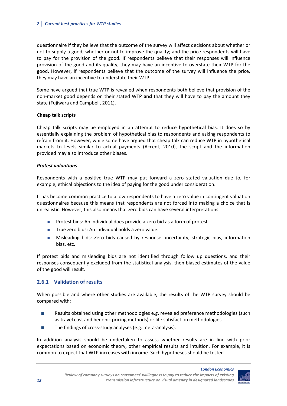questionnaire if they believe that the outcome of the survey will affect decisions about whether or not to supply a good; whether or not to improve the quality; and the price respondents will have to pay for the provision of the good. If respondents believe that their responses will influence provision of the good and its quality, they may have an incentive to overstate their WTP for the good. However, if respondents believe that the outcome of the survey will influence the price, they may have an incentive to understate their WTP.

Some have argued that true WTP is revealed when respondents both believe that provision of the non‐market good depends on their stated WTP **and** that they will have to pay the amount they state (Fujiwara and Campbell, 2011).

## **Cheap talk scripts**

Cheap talk scripts may be employed in an attempt to reduce hypothetical bias. It does so by essentially explaining the problem of hypothetical bias to respondents and asking respondents to refrain from it. However, while some have argued that cheap talk can reduce WTP in hypothetical markets to levels similar to actual payments (Accent, 2010), the script and the information provided may also introduce other biases.

## *Protest valuations*

Respondents with a positive true WTP may put forward a zero stated valuation due to, for example, ethical objections to the idea of paying for the good under consideration.

It has become common practice to allow respondents to have a zero value in contingent valuation questionnaires because this means that respondents are not forced into making a choice that is unrealistic. However, this also means that zero bids can have several interpretations:

- **Protest bids: An individual does provide a zero bid as a form of protest.**
- True zero bids: An individual holds a zero value.
- Misleading bids: Zero bids caused by response uncertainty, strategic bias, information bias, etc.

If protest bids and misleading bids are not identified through follow up questions, and their responses consequently excluded from the statistical analysis, then biased estimates of the value of the good will result.

## **2.6.1 Validation of results**

When possible and where other studies are available, the results of the WTP survey should be compared with:

- **Results obtained using other methodologies e.g. revealed preference methodologies (such** as travel cost and hedonic pricing methods) or life satisfaction methodologies.
- The findings of cross‐study analyses (e.g. meta‐analysis).

In addition analysis should be undertaken to assess whether results are in line with prior expectations based on economic theory, other empirical results and intuition. For example, it is common to expect that WTP increases with income. Such hypotheses should be tested.

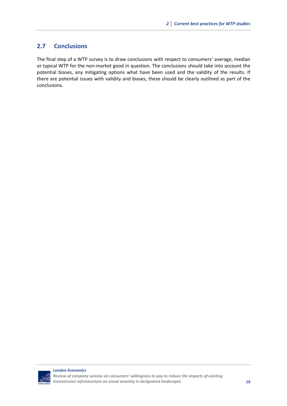## **2.7 Conclusions**

The final step of a WTP survey is to draw conclusions with respect to consumers' average, median or typical WTP for the non‐market good in question. The conclusions should take into account the potential biases, any mitigating options what have been used and the validity of the results. If there are potential issues with validity and biases, these should be clearly outlined as part of the conclusions.

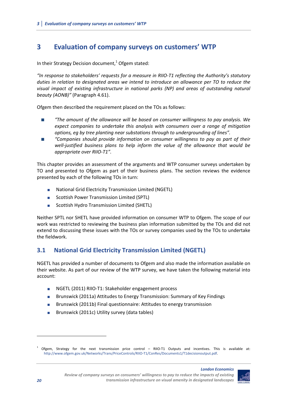## **3 Evaluation of company surveys on customers' WTP**

In their Strategy Decision document, $1$  Ofgem stated:

*"In response to stakeholders' requests for a measure in RIIO‐T1 reflecting the Authority's statutory duties in relation to designated areas we intend to introduce an allowance per TO to reduce the visual impact of existing infrastructure in national parks (NP) and areas of outstanding natural beauty (AONB)"* (Paragraph 4.61).

Ofgem then described the requirement placed on the TOs as follows:

- *"The amount of the allowance will be based on consumer willingness to pay analysis. We expect companies to undertake this analysis with consumers over a range of mitigation options, eg by tree planting near substations through to undergrounding of lines".*
- *"Companies should provide information on consumer willingness to pay as part of their well‐justified business plans to help inform the value of the allowance that would be appropriate over RIIO‐T1".*

This chapter provides an assessment of the arguments and WTP consumer surveys undertaken by TO and presented to Ofgem as part of their business plans. The section reviews the evidence presented by each of the following TOs in turn:

- National Grid Electricity Transmission Limited (NGETL)
- **Scottish Power Transmission Limited (SPTL)**
- Scottish Hydro Transmission Limited (SHETL)

Neither SPTL nor SHETL have provided information on consumer WTP to Ofgem. The scope of our work was restricted to reviewing the business plan information submitted by the TOs and did not extend to discussing these issues with the TOs or survey companies used by the TOs to undertake the fieldwork.

## **3.1 National Grid Electricity Transmission Limited (NGETL)**

NGETL has provided a number of documents to Ofgem and also made the information available on their website. As part of our review of the WTP survey, we have taken the following material into account:

- NGETL (2011) RIIO-T1: Stakeholder engagement process
- Brunswick (2011a) Attitudes to Energy Transmission: Summary of Key Findings
- **Brunswick (2011b) Final questionnaire: Attitudes to energy transmission**
- Brunswick (2011c) Utility survey (data tables)

 $1$  Ofgem, Strategy for the next transmission price control – RIIO-T1 Outputs and incentives. This is available at: http://www.ofgem.gov.uk/Networks/Trans/PriceControls/RIIO‐T1/ConRes/Documents1/T1decisionoutput.pdf.

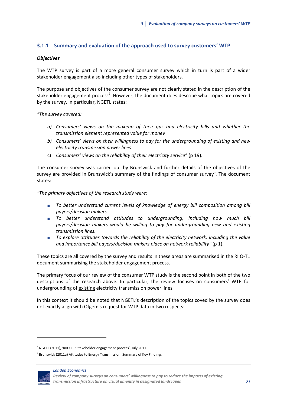## **3.1.1 Summary and evaluation of the approach used to survey customers' WTP**

## *Objectives*

The WTP survey is part of a more general consumer survey which in turn is part of a wider stakeholder engagement also including other types of stakeholders.

The purpose and objectives of the consumer survey are not clearly stated in the description of the stakeholder engagement process<sup>2</sup>. However, the document does describe what topics are covered by the survey. In particular, NGETL states:

*"The survey covered:*

- *a) Consumers' views on the makeup of their gas and electricity bills and whether the transmission element represented value for money*
- *b) Consumers' views on their willingness to pay for the undergrounding of existing and new electricity transmission power lines*
- c) *Consumers' views on the reliability of their electricity service"* (p 19).

The consumer survey was carried out by Brunswick and further details of the objectives of the survey are provided in Brunswick's summary of the findings of consumer survey<sup>3</sup>. The document states:

*"The primary objectives of the research study were:* 

- *To better understand current levels of knowledge of energy bill composition among bill payers/decision makers.*
- *To better understand attitudes to undergrounding, including how much bill payers/decision makers would be willing to pay for undergrounding new and existing transmission lines.*
- *To explore attitudes towards the reliability of the electricity network, including the value and importance bill payers/decision makers place on network reliability"* (p 1).

These topics are all covered by the survey and results in these areas are summarised in the RIIO‐T1 document summarising the stakeholder engagement process.

The primary focus of our review of the consumer WTP study is the second point in both of the two descriptions of the research above. In particular, the review focuses on consumers' WTP for undergrounding of existing electricity transmission power lines.

In this context it should be noted that NGETL's description of the topics coved by the survey does not exactly align with Ofgem's request for WTP data in two respects:

<sup>&</sup>lt;sup>3</sup> Brunswick (2011a) Attitudes to Energy Transmission: Summary of Key Findings



*Review of company surveys on consumers' willingness to pay to reduce the impacts of existing transmission infrastructure on visual amenity in designated landscapes 21*

 $2^{2}$  NGETL (2011), 'RIIO-T1: Stakeholder engagement process', July 2011.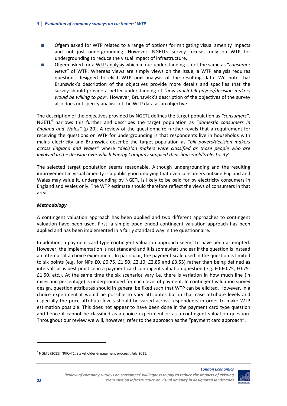- **DECO** Ofgem asked for WTP related to a range of options for mitigating visual amenity impacts and not just undergrounding. However, NGETLs survey focuses only on WTP for undergrounding to reduce the visual impact of infrastructure.
- Ofgem asked for a WTP analysis which in our understanding is not the same as "*consumer views"* of WTP. Whereas views are simply views on the issue, a WTP analysis requires questions designed to elicit WTP **and** analysis of the resulting data. We note that Brunswick's description of the objectives provide more details and specifies that the survey should provide a better understanding of *"how much bill payers/decision makers would be willing to pay"*. However, Brunswick's description of the objectives of the survey also does not specify analysis of the WTP data as an objective.

The description of the objectives provided by NGETL defines the target population as *"consumers"*. NGETL<sup>4</sup> narrows this further and describes the target population as "*domestic consumers in England and Wales"* (p 20). A review of the questionnaire further revels that a requirement for receiving the questions on WTP for undergrounding is that respondents live in households with mains electricity and Brunswick describe the target population as *"bill payers/decision makers across England and Wales"* where *"decision makers were classified as those people who are involved in the decision over which Energy Company supplied their household's electricity'*.

The selected target population seems reasonable. Although undergrounding and the resulting improvement in visual amenity is a public good implying that even consumers outside England and Wales may value it, undergrounding by NGETL is likely to be paid for by electricity consumers in England and Wales only. The WTP estimate should therefore reflect the views of consumers in that area.

## *Methodology*

A contingent valuation approach has been applied and two different approaches to contingent valuation have been used. First, a simple open ended contingent valuation approach has been applied and has been implemented in a fairly standard way in the questionnaire.

In addition, a payment card type contingent valuation approach seems to have been attempted. However, the implementation is not standard and it is somewhat unclear if the question is instead an attempt at a choice experiment. In particular, the payment scale used in the question is limited to six points (e.g. for NPs £0, £0.75, £1.50, £2.10, £2.85 and £3.55) rather than being defined as intervals as is best practice in a payment card contingent valuation question (e.g. £0‐£0.75, £0.75‐ £1.50, etc.). At the same time the six scenarios vary i.e. there is variation in how much line (in miles and percentage) is undergrounded for each level of payment. In contingent valuation survey design, question attributes should in general be fixed such that WTP can be elicited. However, in a choice experiment it would be possible to vary attributes but in that case attribute levels and especially the price attribute levels should be varied across respondents in order to make WTP estimation possible. This does not appear to have been done in the payment card type question and hence it cannot be classified as a choice experiment or as a contingent valuation question. Throughout our review we will, however, refer to the approach as the "payment card approach".



<sup>4</sup> NGETL (2011), 'RIIO‐T1: Stakeholder engagement process', July 2011.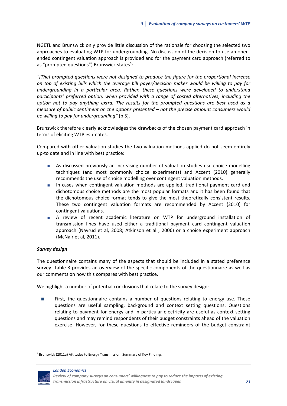NGETL and Brunswick only provide little discussion of the rationale for choosing the selected two approaches to evaluating WTP for undergrounding. No discussion of the decision to use an open‐ ended contingent valuation approach is provided and for the payment card approach (referred to as "prompted questions") Brunswick states<sup>5</sup>:

*"[The] prompted questions were not designed to produce the figure for the proportional increase on top of existing bills which the average bill payer/decision maker would be willing to pay for undergrounding in a particular area. Rather, these questions were developed to understand participants' preferred option, when provided with a range of costed alternatives, including the option not to pay anything extra. The results for the prompted questions are best used as a measure of public sentiment on the options presented – not the precise amount consumers would be willing to pay for undergrounding"* (p 5).

Brunswick therefore clearly acknowledges the drawbacks of the chosen payment card approach in terms of eliciting WTP estimates.

Compared with other valuation studies the two valuation methods applied do not seem entirely up‐to date and in line with best practice:

- **As discussed previously an increasing number of valuation studies use choice modelling** techniques (and most commonly choice experiments) and Accent (2010) generally recommends the use of choice modelling over contingent valuation methods.
- In cases when contingent valuation methods are applied, traditional payment card and dichotomous choice methods are the most popular formats and it has been found that the dichotomous choice format tends to give the most theoretically consistent results. These two contingent valuation formats are recommended by Accent (2010) for contingent valuations.
- A review of recent academic literature on WTP for underground installation of transmission lines have used either a traditional payment card contingent valuation approach (Navrud et al, 2008; Atkinson et al , 2006) or a choice experiment approach (McNair et al, 2011).

## *Survey design*

The questionnaire contains many of the aspects that should be included in a stated preference survey. Table 3 provides an overview of the specific components of the questionnaire as well as our comments on how this compares with best practice.

We highlight a number of potential conclusions that relate to the survey design:

 First, the questionnaire contains a number of questions relating to energy use. These questions are useful sampling, background and context setting questions. Questions relating to payment for energy and in particular electricity are useful as context setting questions and may remind respondents of their budget constraints ahead of the valuation exercise. However, for these questions to effective reminders of the budget constraint

<sup>&</sup>lt;sup>5</sup> Brunswick (2011a) Attitudes to Energy Transmission: Summary of Key Findings



*Review of company surveys on consumers' willingness to pay to reduce the impacts of existing transmission infrastructure on visual amenity in designated landscapes 23*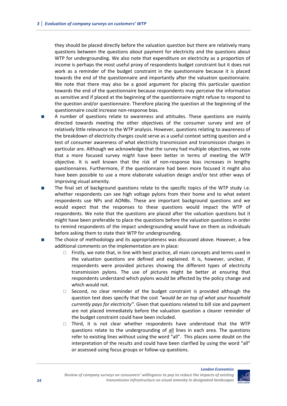they should be placed directly before the valuation question but there are relatively many questions between the questions about payment for electricity and the questions about WTP for undergrounding. We also note that expenditure on electricity as a proportion of income is perhaps the most useful proxy of respondents budget constraint but it does not work as a reminder of the budget constraint in the questionnaire because it is placed towards the end of the questionnaire and importantly after the valuation questionnaire. We note that there may also be a good argument for placing this particular question towards the end of the questionnaire because respondents may perceive the information as sensitive and if placed at the beginning of the questionnaire might refuse to respond to the question and/or questionnaire. Therefore placing the question at the beginning of the questionnaire could increase non‐response bias.

- A number of questions relate to awareness and attitudes. These questions are mainly directed towards meeting the other objectives of the consumer survey and are of relatively little relevance to the WTP analysis. However, questions relating to awareness of the breakdown of electricity charges could serve as a useful context setting question and a test of consumer awareness of what electricity transmission and transmission charges in particular are. Although we acknowledge that the survey had multiple objectives, we note that a more focused survey might have been better in terms of meeting the WTP objective. It is well known that the risk of non‐response bias increases in lengthy questionnaires. Furthermore, if the questionnaire had been more focused it might also have been possible to use a more elaborate valuation design and/or test other ways of improving visual amenity.
- The final set of background questions relate to the specific topics of the WTP study i.e. whether respondents can see high voltage pylons from their home and to what extent respondents use NPs and AONBs. These are important background questions and we would expect that the responses to these questions would impact the WTP of respondents. We note that the questions are placed after the valuation questions but it might have been preferable to place the questions before the valuation questions in order to remind respondents of the impact undergrounding would have on them as individuals before asking them to state their WTP for undergrounding.
- The choice of methodology and its appropriateness was discussed above. However, a few additional comments on the implementation are in place:
	- $\Box$  Firstly, we note that, in line with best practice, all main concepts and terms used in the valuation questions are defined and explained. It is, however, unclear, if respondents were provided pictures showing the different types of electricity transmission pylons. The use of pictures might be better at ensuring that respondents understand which pylons would be affected by the policy change and which would not.
	- $\Box$  Second, no clear reminder of the budget constraint is provided although the question text does specify that the cost *"would be on top of what your household currently pays for electricity"*. Given that questions related to bill size and payment are not placed immediately before the valuation question a clearer reminder of the budget constraint could have been included.
	- $\Box$  Third, it is not clear whether respondents have understood that the WTP questions relate to the undergrounding of all lines in each area. The questions refer to existing lines without using the word "all". This places some doubt on the interpretation of the results and could have been clarified by using the word "all" or assessed using focus groups or follow‐up questions.

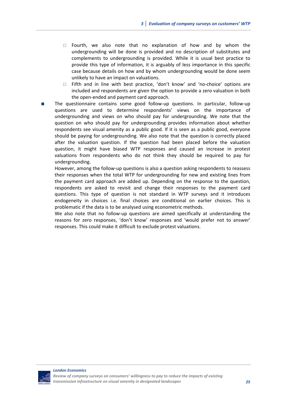- $\Box$  Fourth, we also note that no explanation of how and by whom the undergrounding will be done is provided and no description of substitutes and complements to undergrounding is provided. While it is usual best practice to provide this type of information, it is arguably of less importance in this specific case because details on how and by whom undergrounding would be done seem unlikely to have an impact on valuations.
- □ Fifth and in line with best practice, 'don't know' and 'no-choice' options are included and respondents are given the option to provide a zero valuation in both the open‐ended and payment card approach.
- The questionnaire contains some good follow‐up questions. In particular, follow‐up questions are used to determine respondents' views on the importance of undergrounding and views on who should pay for undergrounding. We note that the question on who should pay for undergrounding provides information about whether respondents see visual amenity as a public good. If it is seen as a public good, everyone should be paying for undergrounding. We also note that the question is correctly placed after the valuation question. If the question had been placed before the valuation question, it might have biased WTP responses and caused an increase in protest valuations from respondents who do not think they should be required to pay for undergrounding.

However, among the follow-up questions is also a question asking respondents to reassess their responses when the total WTP for undergrounding for new and existing lines from the payment card approach are added up. Depending on the response to the question, respondents are asked to revisit and change their responses to the payment card questions. This type of question is not standard in WTP surveys and it introduces endogeneity in choices i.e. final choices are conditional on earlier choices. This is problematic if the data is to be analysed using econometric methods.

We also note that no follow-up questions are aimed specifically at understanding the reasons for zero responses, 'don't know' responses and 'would prefer not to answer' responses. This could make it difficult to exclude protest valuations.

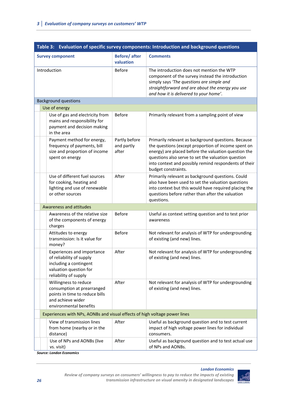| Table 3: Evaluation of specific survey components: Introduction and background questions                                             |                                      |                                                                                                                                                                                                                                                                                                          |  |
|--------------------------------------------------------------------------------------------------------------------------------------|--------------------------------------|----------------------------------------------------------------------------------------------------------------------------------------------------------------------------------------------------------------------------------------------------------------------------------------------------------|--|
| <b>Survey component</b>                                                                                                              | <b>Before/after</b><br>valuation     | <b>Comments</b>                                                                                                                                                                                                                                                                                          |  |
| Introduction                                                                                                                         | <b>Before</b>                        | The introduction does not mention the WTP<br>component of the survey instead the introduction<br>simply says 'The questions are simple and<br>straightforward and are about the energy you use<br>and how it is delivered to your home'.                                                                 |  |
| <b>Background questions</b>                                                                                                          |                                      |                                                                                                                                                                                                                                                                                                          |  |
| Use of energy                                                                                                                        |                                      |                                                                                                                                                                                                                                                                                                          |  |
| Use of gas and electricity from<br>mains and responsibility for<br>payment and decision making<br>in the area                        | <b>Before</b>                        | Primarily relevant from a sampling point of view                                                                                                                                                                                                                                                         |  |
| Payment method for energy,<br>frequency of payments, bill<br>size and proportion of income<br>spent on energy                        | Partly before<br>and partly<br>after | Primarily relevant as background questions. Because<br>the questions (except proportion of income spent on<br>energy) are placed before the valuation question the<br>questions also serve to set the valuation question<br>into context and possibly remind respondents of their<br>budget constraints. |  |
| Use of different fuel sources<br>for cooking, heating and<br>lighting and use of renewable<br>or other sources                       | After                                | Primarily relevant as background questions. Could<br>also have been used to set the valuation questions<br>into context but this would have required placing the<br>questions before rather than after the valuation<br>questions.                                                                       |  |
| Awareness and attitudes                                                                                                              |                                      |                                                                                                                                                                                                                                                                                                          |  |
| Awareness of the relative size<br>of the components of energy<br>charges                                                             | <b>Before</b>                        | Useful as context setting question and to test prior<br>awareness                                                                                                                                                                                                                                        |  |
| Attitudes to energy<br>transmission: Is it value for<br>money?                                                                       | <b>Before</b>                        | Not relevant for analysis of WTP for undergrounding<br>of existing (and new) lines.                                                                                                                                                                                                                      |  |
| Experiences and importance<br>of reliability of supply<br>including a contingent<br>valuation question for<br>reliability of supply  | After                                | Not relevant for analysis of WTP for undergrounding<br>of existing (and new) lines.                                                                                                                                                                                                                      |  |
| Willingness to reduce<br>consumption at prearranged<br>points in time to reduce bills<br>and achieve wider<br>environmental benefits | After                                | Not relevant for analysis of WTP for undergrounding<br>of existing (and new) lines.                                                                                                                                                                                                                      |  |
| Experiences with NPs, AONBs and visual effects of high voltage power lines                                                           |                                      |                                                                                                                                                                                                                                                                                                          |  |
| View of transmission lines<br>from home (nearby or in the<br>distance)                                                               | After                                | Useful as background question and to test current<br>impact of high voltage power lines for individual<br>consumers.                                                                                                                                                                                     |  |
| Use of NPs and AONBs (live<br>vs. visit)<br><b>Source: London Economics</b>                                                          | After                                | Useful as background question and to test actual use<br>of NPs and AONBs.                                                                                                                                                                                                                                |  |

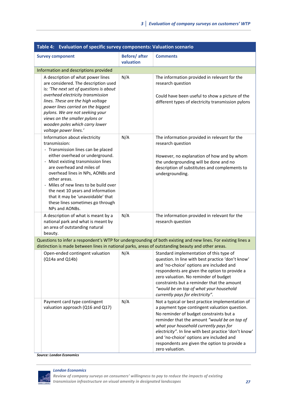| Table 4: Evaluation of specific survey components: Valuation scenario                                                                                                                                                                                                                                                                                                                                                 |                                  |                                                                                                                                                                                                                                                                                                                                                                                                                 |  |
|-----------------------------------------------------------------------------------------------------------------------------------------------------------------------------------------------------------------------------------------------------------------------------------------------------------------------------------------------------------------------------------------------------------------------|----------------------------------|-----------------------------------------------------------------------------------------------------------------------------------------------------------------------------------------------------------------------------------------------------------------------------------------------------------------------------------------------------------------------------------------------------------------|--|
| <b>Survey component</b>                                                                                                                                                                                                                                                                                                                                                                                               | <b>Before/after</b><br>valuation | <b>Comments</b>                                                                                                                                                                                                                                                                                                                                                                                                 |  |
| Information and descriptions provided                                                                                                                                                                                                                                                                                                                                                                                 |                                  |                                                                                                                                                                                                                                                                                                                                                                                                                 |  |
| A description of what power lines<br>are considered. The description used<br>is: 'The next set of questions is about<br>overhead electricity transmission<br>lines. These are the high voltage<br>power lines carried on the biggest<br>pylons. We are not seeking your<br>views on the smaller pylons or<br>wooden poles which carry lower<br>voltage power lines.'                                                  | N/A                              | The information provided in relevant for the<br>research question<br>Could have been useful to show a picture of the<br>different types of electricity transmission pylons                                                                                                                                                                                                                                      |  |
| Information about electricity<br>transmission:<br>- Transmission lines can be placed<br>either overhead or underground.<br>- Most existing transmission lines<br>are overhead and miles of<br>overhead lines in NPs, AONBs and<br>other areas.<br>Miles of new lines to be build over<br>the next 10 years and information<br>that it may be 'unavoidable' that<br>these lines sometimes go through<br>NPs and AONBs. | N/A                              | The information provided in relevant for the<br>research question<br>However, no explanation of how and by whom<br>the undergrounding will be done and no<br>description of substitutes and complements to<br>undergrounding.                                                                                                                                                                                   |  |
| A description of what is meant by a<br>national park and what is meant by<br>an area of outstanding natural<br>beauty.                                                                                                                                                                                                                                                                                                | N/A                              | The information provided in relevant for the<br>research question                                                                                                                                                                                                                                                                                                                                               |  |
| distinction is made between lines in national parks, areas of outstanding beauty and other areas.                                                                                                                                                                                                                                                                                                                     |                                  | Questions to infer a respondent's WTP for undergrounding of both existing and new lines. For existing lines a                                                                                                                                                                                                                                                                                                   |  |
| Open-ended contingent valuation<br>$(Q14a$ and $Q14b)$                                                                                                                                                                                                                                                                                                                                                                | N/A                              | Standard implementation of this type of<br>question. In line with best practice 'don't know'<br>and 'no-choice' options are included and<br>respondents are given the option to provide a<br>zero valuation. No reminder of budget<br>constraints but a reminder that the amount<br>"would be on top of what your household<br>currently pays for electricity".                                                 |  |
| Payment card type contingent<br>valuation approach (Q16 and Q17)                                                                                                                                                                                                                                                                                                                                                      | N/A                              | Not a typical or best practice implementation of<br>a payment type contingent valuation question.<br>No reminder of budget constraints but a<br>reminder that the amount "would be on top of<br>what your household currently pays for<br>electricity". In line with best practice 'don't know'<br>and 'no-choice' options are included and<br>respondents are given the option to provide a<br>zero valuation. |  |

*Source: London Economics*



*Review of company surveys on consumers' willingness to pay to reduce the impacts of existing transmission infrastructure on visual amenity in designated landscapes 27*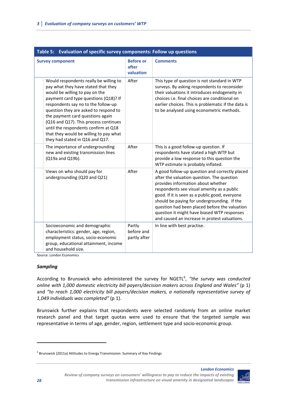| Table 5: Evaluation of specific survey components: Follow up questions                                                                                                                                                                                                                                                                                                                                                                     |                                        |                                                                                                                                                                                                                                                                                                                                                                                                                                    |  |
|--------------------------------------------------------------------------------------------------------------------------------------------------------------------------------------------------------------------------------------------------------------------------------------------------------------------------------------------------------------------------------------------------------------------------------------------|----------------------------------------|------------------------------------------------------------------------------------------------------------------------------------------------------------------------------------------------------------------------------------------------------------------------------------------------------------------------------------------------------------------------------------------------------------------------------------|--|
| <b>Survey component</b>                                                                                                                                                                                                                                                                                                                                                                                                                    | <b>Before or</b><br>after<br>valuation | <b>Comments</b>                                                                                                                                                                                                                                                                                                                                                                                                                    |  |
| Would respondents really be willing to<br>pay what they have stated that they<br>would be willing to pay on the<br>payment card type questions (Q18)? If<br>respondents say no to the follow-up<br>question they are asked to respond to<br>the payment card questions again<br>(Q16 and Q17). This process continues<br>until the respondents confirm at Q18<br>that they would be willing to pay what<br>they had stated in Q16 and Q17. | After                                  | This type of question is not standard in WTP<br>surveys. By asking respondents to reconsider<br>their valuations it introduces endogeneity in<br>choices i.e. final choices are conditional on<br>earlier choices. This is problematic if the data is<br>to be analysed using econometric methods.                                                                                                                                 |  |
| The importance of undergrounding<br>new and existing transmission lines<br>(Q19a and Q19b).                                                                                                                                                                                                                                                                                                                                                | After                                  | This is a good follow-up question. If<br>respondents have stated a high WTP but<br>provide a low response to this question the<br>WTP estimate is probably inflated.                                                                                                                                                                                                                                                               |  |
| Views on who should pay for<br>undergrounding (Q20 and Q21)                                                                                                                                                                                                                                                                                                                                                                                | After                                  | A good follow-up question and correctly placed<br>after the valuation question. The question<br>provides information about whether<br>respondents see visual amenity as a public<br>good. If it is seen as a public good, everyone<br>should be paying for undergrounding. If the<br>question had been placed before the valuation<br>question it might have biased WTP responses<br>and caused an increase in protest valuations. |  |
| Socioeconomic and demographic<br>characteristics: gender, age, region,<br>employment status, socio-economic<br>group, educational attainment, income<br>and household size.                                                                                                                                                                                                                                                                | Partly<br>before and<br>partly after   | In line with best practise.                                                                                                                                                                                                                                                                                                                                                                                                        |  |

Source: London Economics

## *Sampling*

According to Brunswick who administered the survey for NGETL<sup>6</sup>, "the survey was conducted *online with 1,000 domestic electricity bill payers/decision makers across England and Wales"* (p 1) and *"to reach 1,000 electricity bill payers/decision makers, a nationally representative survey of 1,049 individuals was completed"* (p 1).

Brunswick further explains that respondents were selected randomly from an online market research panel and that target quotas were used to ensure that the targeted sample was representative in terms of age, gender, region, settlement type and socio‐economic group.

<sup>6</sup> Brunswick (2011a) Attitudes to Energy Transmission: Summary of Key Findings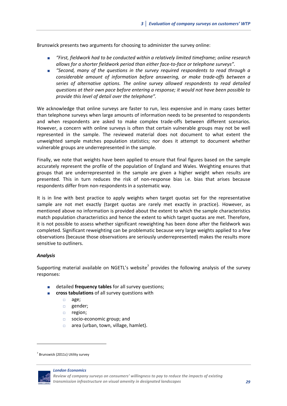Brunswick presents two arguments for choosing to administer the survey online:

- *"First, fieldwork had to be conducted within a relatively limited timeframe; online research allows for a shorter fieldwork period than either face‐to‐face or telephone surveys".*
- *"Second, many of the questions in the survey required respondents to read through a considerable amount of information before answering, or make trade‐offs between a series of alternative options. The online survey allowed respondents to read detailed questions at their own pace before entering a response; it would not have been possible to provide this level of detail over the telephone".*

We acknowledge that online surveys are faster to run, less expensive and in many cases better than telephone surveys when large amounts of information needs to be presented to respondents and when respondents are asked to make complex trade‐offs between different scenarios. However, a concern with online surveys is often that certain vulnerable groups may not be well represented in the sample. The reviewed material does not document to what extent the unweighted sample matches population statistics; nor does it attempt to document whether vulnerable groups are underrepresented in the sample.

Finally, we note that weights have been applied to ensure that final figures based on the sample accurately represent the profile of the population of England and Wales. Weighting ensures that groups that are underrepresented in the sample are given a higher weight when results are presented. This in turn reduces the risk of non‐response bias i.e. bias that arises because respondents differ from non-respondents in a systematic way.

It is in line with best practice to apply weights when target quotas set for the representative sample are not met exactly (target quotas are rarely met exactly in practice). However, as mentioned above no information is provided about the extent to which the sample characteristics match population characteristics and hence the extent to which target quotas are met. Therefore, it is not possible to assess whether significant reweighting has been done after the fieldwork was completed. Significant reweighting can be problematic because very large weights applied to a few observations (because those observations are seriously underrepresented) makes the results more sensitive to outliners.

#### *Analysis*

Supporting material available on NGETL's website<sup>7</sup> provides the following analysis of the survey responses:

- detailed **frequency tables** for all survey questions;
- **cross tabulations** of all survey questions with
	- age;
	- gender;
	- **p** region;
	- □ socio-economic group; and
	- $\Box$  area (urban, town, village, hamlet).

 $7$  Brunswick (2011c) Utility survey



*Review of company surveys on consumers' willingness to pay to reduce the impacts of existing transmission infrastructure on visual amenity in designated landscapes 29*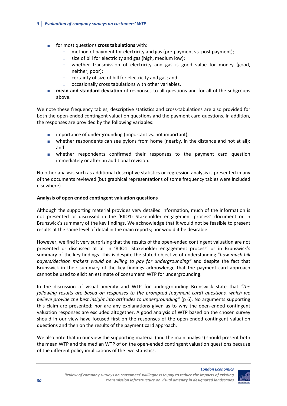- for most questions **cross tabulations** with:
	- □ method of payment for electricity and gas (pre-payment vs. post payment);
	- $\Box$  size of bill for electricity and gas (high, medium low);
	- $\Box$  whether transmission of electricity and gas is good value for money (good, neither, poor);
	- $\Box$  certainty of size of bill for electricity and gas; and
	- $\Box$  occasionally cross tabulations with other variables.
- **mean and standard deviation** of responses to all questions and for all of the subgroups above.

We note these frequency tables, descriptive statistics and cross-tabulations are also provided for both the open-ended contingent valuation questions and the payment card questions. In addition, the responses are provided by the following variables:

- importance of undergrounding (important vs. not important);
- whether respondents can see pylons from home (nearby, in the distance and not at all); and
- whether respondents confirmed their responses to the payment card question immediately or after an additional revision.

No other analysis such as additional descriptive statistics or regression analysis is presented in any of the documents reviewed (but graphical representations of some frequency tables were included elsewhere).

## **Analysis of open ended contingent valuation questions**

Although the supporting material provides very detailed information, much of the information is not presented or discussed in the 'RIIO1: Stakeholder engagement process' document or in Brunswick's summary of the key findings. We acknowledge that it would not be feasible to present results at the same level of detail in the main reports; nor would it be desirable.

However, we find it very surprising that the results of the open‐ended contingent valuation are not presented or discussed at all in 'RIIO1: Stakeholder engagement process' or in Brunswick's summary of the key findings. This is despite the stated objective of understanding "*how much bill payers/decision makers would be willing to pay for undergrounding"* and despite the fact that Brunswick in their summary of the key findings acknowledge that the payment card approach cannot be used to elicit an estimate of consumers' WTP for undergrounding.

In the discussion of visual amenity and WTP for undergrounding Brunswick state that *"the following results are based on responses to the prompted [payment card] questions, which we believe provide the best insight into attitudes to undergrounding"* (p 6). No arguments supporting this claim are presented; nor are any explanations given as to why the open‐ended contingent valuation responses are excluded altogether. A good analysis of WTP based on the chosen survey should in our view have focused first on the responses of the open-ended contingent valuation questions and then on the results of the payment card approach.

We also note that in our view the supporting material (and the main analysis) should present both the mean WTP and the median WTP of on the open‐ended contingent valuation questions because of the different policy implications of the two statistics.

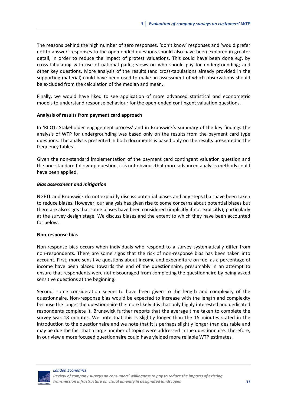The reasons behind the high number of zero responses, 'don't know' responses and 'would prefer not to answer' responses to the open‐ended questions should also have been explored in greater detail, in order to reduce the impact of protest valuations. This could have been done e.g. by cross‐tabulating with use of national parks; views on who should pay for undergrounding; and other key questions. More analysis of the results (and cross‐tabulations already provided in the supporting material) could have been used to make an assessment of which observations should be excluded from the calculation of the median and mean.

Finally, we would have liked to see application of more advanced statistical and econometric models to understand response behaviour for the open-ended contingent valuation questions.

#### **Analysis of results from payment card approach**

In 'RIIO1: Stakeholder engagement process' and in Brunswick's summary of the key findings the analysis of WTP for undergrounding was based only on the results from the payment card type questions. The analysis presented in both documents is based only on the results presented in the frequency tables.

Given the non‐standard implementation of the payment card contingent valuation question and the non‐standard follow‐up question, it is not obvious that more advanced analysis methods could have been applied.

#### *Bias assessment and mitigation*

NGETL and Brunswick do not explicitly discuss potential biases and any steps that have been taken to reduce biases. However, our analysis has given rise to some concerns about potential biases but there are also signs that some biases have been considered (implicitly if not explicitly); particularly at the survey design stage. We discuss biases and the extent to which they have been accounted for below.

#### **Non‐response bias**

Non-response bias occurs when individuals who respond to a survey systematically differ from non-respondents. There are some signs that the risk of non-response bias has been taken into account. First, more sensitive questions about income and expenditure on fuel as a percentage of income have been placed towards the end of the questionnaire, presumably in an attempt to ensure that respondents were not discouraged from completing the questionnaire by being asked sensitive questions at the beginning.

Second, some consideration seems to have been given to the length and complexity of the questionnaire. Non‐response bias would be expected to increase with the length and complexity because the longer the questionnaire the more likely it is that only highly interested and dedicated respondents complete it. Brunswick further reports that the average time taken to complete the survey was 18 minutes. We note that this is slightly longer than the 15 minutes stated in the introduction to the questionnaire and we note that it is perhaps slightly longer than desirable and may be due the fact that a large number of topics were addressed in the questionnaire. Therefore, in our view a more focused questionnaire could have yielded more reliable WTP estimates.

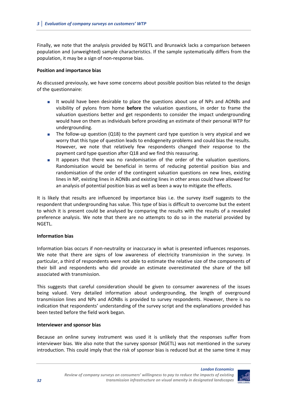Finally, we note that the analysis provided by NGETL and Brunswick lacks a comparison between population and (unweighted) sample characteristics. If the sample systematically differs from the population, it may be a sign of non‐response bias.

#### **Position and importance bias**

As discussed previously, we have some concerns about possible position bias related to the design of the questionnaire:

- It would have been desirable to place the questions about use of NPs and AONBs and visibility of pylons from home **before** the valuation questions, in order to frame the valuation questions better and get respondents to consider the impact undergrounding would have on them as individuals before providing an estimate of their personal WTP for undergrounding.
- The follow-up question (Q18) to the payment card type question is very atypical and we worry that this type of question leads to endogeneity problems and could bias the results. However, we note that relatively few respondents changed their response to the payment card type question after Q18 and we find this reassuring.
- It appears that there was no randomisation of the order of the valuation questions. Randomisation would be beneficial in terms of reducing potential position bias and randomisation of the order of the contingent valuation questions on new lines, existing lines in NP, existing lines in AONBs and existing lines in other areas could have allowed for an analysis of potential position bias as well as been a way to mitigate the effects.

It is likely that results are influenced by importance bias i.e. the survey itself suggests to the respondent that undergrounding has value. This type of bias is difficult to overcome but the extent to which it is present could be analysed by comparing the results with the results of a revealed preference analysis. We note that there are no attempts to do so in the material provided by NGETL.

#### **Information bias**

Information bias occurs if non‐neutrality or inaccuracy in what is presented influences responses. We note that there are signs of low awareness of electricity transmission in the survey. In particular, a third of respondents were not able to estimate the relative size of the components of their bill and respondents who did provide an estimate overestimated the share of the bill associated with transmission.

This suggests that careful consideration should be given to consumer awareness of the issues being valued. Very detailed information about undergrounding, the length of overground transmission lines and NPs and AONBs is provided to survey respondents. However, there is no indication that respondents' understanding of the survey script and the explanations provided has been tested before the field work began.

#### **Interviewer and sponsor bias**

Because an online survey instrument was used it is unlikely that the responses suffer from interviewer bias. We also note that the survey sponsor (NGETL) was not mentioned in the survey introduction. This could imply that the risk of sponsor bias is reduced but at the same time it may

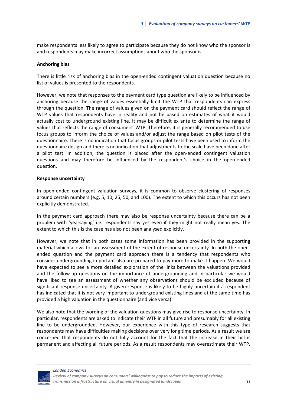make respondents less likely to agree to participate because they do not know who the sponsor is and respondents may make incorrect assumptions about who the sponsor is.

#### **Anchoring bias**

There is little risk of anchoring bias in the open-ended contingent valuation question because no list of values is presented to the respondents.

However, we note that responses to the payment card type question are likely to be influenced by anchoring because the range of values essentially limit the WTP that respondents can express through the question. The range of values given on the payment card should reflect the range of WTP values that respondents have in reality and not be based on estimates of what it would actually cost to underground existing line. It may be difficult ex ante to determine the range of values that reflects the range of consumers' WTP. Therefore, it is generally recommended to use focus groups to inform the choice of values and/or adjust the range based on pilot tests of the questionnaire. There is no indication that focus groups or pilot tests have been used to inform the questionnaire design and there is no indication that adjustments to the scale have been done after a pilot test. In addition, the question is placed after the open-ended contingent valuation questions and may therefore be influenced by the respondent's choice in the open‐ended question.

#### **Response uncertainty**

In open-ended contingent valuation surveys, it is common to observe clustering of responses around certain numbers (e.g. 5, 10, 25, 50, and 100). The extent to which this occurs has not been explicitly demonstrated.

In the payment card approach there may also be response uncertainty because there can be a problem with 'yea‐saying' i.e. respondents say yes even if they might not really mean yes. The extent to which this is the case has also not been analysed explicitly.

However, we note that in both cases some information has been provided in the supporting material which allows for an assessment of the extent of response uncertainty. In both the open‐ ended question and the payment card approach there is a tendency that respondents who consider undergrounding important also are prepared to pay more to make it happen. We would have expected to see a more detailed exploration of the links between the valuations provided and the follow‐up questions on the importance of undergrounding and in particular we would have liked to see an assessment of whether any observations should be excluded because of significant response uncertainty. A given response is likely to be highly uncertain if a respondent has indicated that it is not very important to underground existing lines and at the same time has provided a high valuation in the questionnaire (and vice versa).

We also note that the wording of the valuation questions may give rise to response uncertainty. In particular, respondents are asked to indicate their WTP in all future and presumably for all existing line to be undergrounded. However, our experience with this type of research suggests that respondents may have difficulties making decisions over very long time periods. As a result we are concerned that respondents do not fully account for the fact that the increase in their bill is permanent and affecting all future periods. As a result respondents may overestimate their WTP.

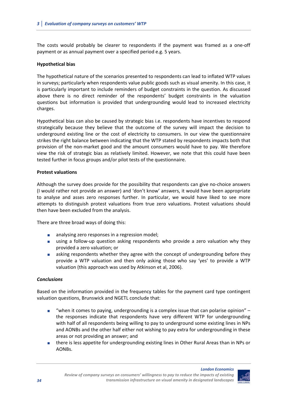The costs would probably be clearer to respondents if the payment was framed as a one‐off payment or as annual payment over a specified period e.g. 5 years.

## **Hypothetical bias**

The hypothetical nature of the scenarios presented to respondents can lead to inflated WTP values in surveys; particularly when respondents value public goods such as visual amenity. In this case, it is particularly important to include reminders of budget constraints in the question. As discussed above there is no direct reminder of the respondents' budget constraints in the valuation questions but information is provided that undergrounding would lead to increased electricity charges.

Hypothetical bias can also be caused by strategic bias i.e. respondents have incentives to respond strategically because they believe that the outcome of the survey will impact the decision to underground existing line or the cost of electricity to consumers. In our view the questionnaire strikes the right balance between indicating that the WTP stated by respondents impacts both that provision of the non‐market good and the amount consumers would have to pay. We therefore view the risk of strategic bias as relatively limited. However, we note that this could have been tested further in focus groups and/or pilot tests of the questionnaire.

## **Protest valuations**

Although the survey does provide for the possibility that respondents can give no‐choice answers (I would rather not provide an answer) and 'don't know' answers, it would have been appropriate to analyse and asses zero responses further. In particular, we would have liked to see more attempts to distinguish protest valuations from true zero valuations. Protest valuations should then have been excluded from the analysis.

There are three broad ways of doing this:

- analysing zero responses in a regression model;
- using a follow-up question asking respondents who provide a zero valuation why they provided a zero valuation; or
- **a** asking respondents whether they agree with the concept of undergrounding before they provide a WTP valuation and then only asking those who say 'yes' to provide a WTP valuation (this approach was used by Atkinson et al, 2006).

## *Conclusions*

Based on the information provided in the frequency tables for the payment card type contingent valuation questions, Brunswick and NGETL conclude that:

- **"** "when it comes to paying, undergrounding is a complex issue that can polarise opinion"  $$ the responses indicate that respondents have very different WTP for undergrounding with half of all respondents being willing to pay to underground some existing lines in NPs and AONBs and the other half either not wishing to pay extra for undergrounding in these areas or not providing an answer; and
- there is less appetite for undergrounding existing lines in Other Rural Areas than in NPs or AONBs.

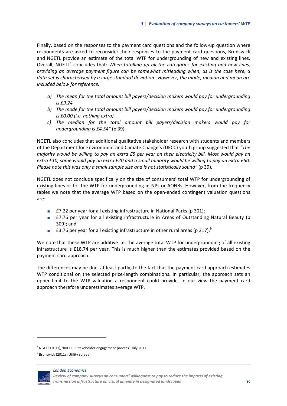Finally, based on the responses to the payment card questions and the follow‐up question where respondents are asked to reconsider their responses to the payment card questions, Brunswick and NGETL provide an estimate of the total WTP for undergrounding of new and existing lines. Overall, NGETL8 concludes that: *When totalling up all the categories for existing and new lines, providing an average payment figure can be somewhat misleading when, as is the case here, a data set is characterised by a large standard deviation. However, the mode, median and mean are included below for reference.*

- *a) The mean for the total amount bill payers/decision makers would pay for undergrounding is £9.24*
- *b) The mode for the total amount bill payers/decision makers would pay for undergrounding is £0.00 (i.e. nothing extra)*
- *c) The median for the total amount bill payers/decision makers would pay for undergrounding is £4.54"* (p 39).

NGETL also concludes that additional qualitative stakeholder research with students and members of the Department for Environment and Climate Change's (DECC) youth group suggested that *"The* majority would be willing to pay an extra £5 per year on their electricity bill. Most would pay an extra £10, some would pay an extra £20 and a small minority would be willing to pay an extra £50. *Please note this was only a small sample size and is not statistically sound"* (p 39)*.*

NGETL does not conclude specifically on the size of consumers' total WTP for undergrounding of existing lines or for the WTP for undergrounding in NPs or AONBs. However, from the frequency tables we note that the average WTP based on the open-ended contingent valuation questions are:

- £7.22 per year for all existing infrastructure in National Parks (p 301);
- £7.76 per year for all existing infrastructure in Areas of Outstanding Natural Beauty (p 309); and
- £3.76 per year for all existing infrastructure in other rural areas (p 317). $^{9}$

We note that these WTP are additive i.e. the average total WTP for undergrounding of all existing infrastructure is £18.74 per year. This is much higher than the estimates provided based on the payment card approach.

The differences may be due, at least partly, to the fact that the payment card approach estimates WTP conditional on the selected price-length combinations. In particular, the approach sets an upper limit to the WTP valuation a respondent could provide. In our view the payment card approach therefore underestimates average WTP.

*London Economics*



<sup>8</sup> NGETL (2011), 'RIIO‐T1: Stakeholder engagement process', July 2011.

<sup>&</sup>lt;sup>9</sup> Brunswick (2011c) Utility survey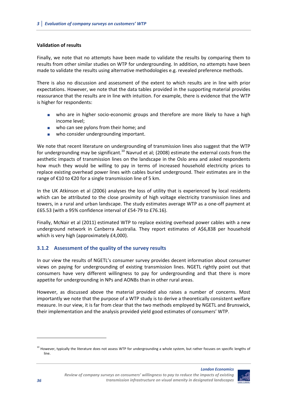## **Validation of results**

Finally, we note that no attempts have been made to validate the results by comparing them to results from other similar studies on WTP for undergrounding. In addition, no attempts have been made to validate the results using alternative methodologies e.g. revealed preference methods.

There is also no discussion and assessment of the extent to which results are in line with prior expectations. However, we note that the data tables provided in the supporting material provides reassurance that the results are in line with intuition. For example, there is evidence that the WTP is higher for respondents:

- who are in higher socio-economic groups and therefore are more likely to have a high income level;
- **No.** who can see pylons from their home; and
- who consider undergrounding important.

We note that recent literature on undergrounding of transmission lines also suggest that the WTP for undergrounding may be significant.<sup>10</sup> Navrud et al; (2008) estimate the external costs from the aesthetic impacts of transmission lines on the landscape in the Oslo area and asked respondents how much they would be willing to pay in terms of increased household electricity prices to replace existing overhead power lines with cables buried underground. Their estimates are in the range of €10 to €20 for a single transmission line of 5 km.

In the UK Atkinson et al (2006) analyses the loss of utility that is experienced by local residents which can be attributed to the close proximity of high voltage electricity transmission lines and towers, in a rural and urban landscape. The study estimates average WTP as a one‐off payment at £65.53 (with a 95% confidence interval of £54‐79 to £76.16).

Finally, McNair et al (2011) estimated WTP to replace existing overhead power cables with a new underground network in Canberra Australia*.* They report estimates of A\$6,838 per household which is very high (approximately £4,000).

## **3.1.2 Assessment of the quality of the survey results**

In our view the results of NGETL's consumer survey provides decent information about consumer views on paying for undergrounding of existing transmission lines. NGETL rightly point out that consumers have very different willingness to pay for undergrounding and that there is more appetite for undergrounding in NPs and AONBs than in other rural areas.

However, as discussed above the material provided also raises a number of concerns. Most importantly we note that the purpose of a WTP study is to derive a theoretically consistent welfare measure. In our view, it is far from clear that the two methods employed by NGETL and Brunswick, their implementation and the analysis provided yield good estimates of consumers' WTP.

 $^{10}$  However, typically the literature does not assess WTP for undergrounding a whole system, but rather focuses on specific lengths of line.



*London Economics*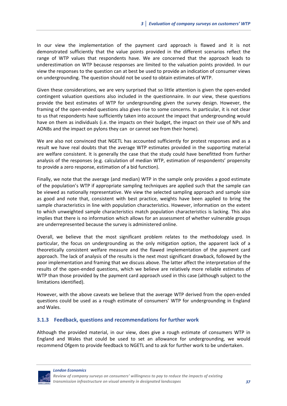In our view the implementation of the payment card approach is flawed and it is not demonstrated sufficiently that the value points provided in the different scenarios reflect the range of WTP values that respondents have. We are concerned that the approach leads to underestimation on WTP because responses are limited to the valuation points provided. In our view the responses to the question can at best be used to provide an indication of consumer views on undergrounding. The question should not be used to obtain estimates of WTP.

Given these considerations, we are very surprised that so little attention is given the open‐ended contingent valuation questions also included in the questionnaire. In our view, these questions provide the best estimates of WTP for undergrounding given the survey design. However, the framing of the open-ended questions also gives rise to some concerns. In particular, it is not clear to us that respondents have sufficiently taken into account the impact that undergrounding would have on them as individuals (i.e. the impacts on their budget, the impact on their use of NPs and AONBs and the impact on pylons they can or cannot see from their home).

We are also not convinced that NGETL has accounted sufficiently for protest responses and as a result we have real doubts that the average WTP estimates provided in the supporting material are welfare consistent. It is generally the case that the study could have benefitted from further analysis of the responses (e.g. calculation of median WTP, estimation of respondents' propensity to provide a zero response, estimation of a bid function).

Finally, we note that the average (and median) WTP in the sample only provides a good estimate of the population's WTP if appropriate sampling techniques are applied such that the sample can be viewed as nationally representative. We view the selected sampling approach and sample size as good and note that, consistent with best practice, weights have been applied to bring the sample characteristics in line with population characteristics. However, information on the extent to which unweighted sample characteristics match population characteristics is lacking. This also implies that there is no information which allows for an assessment of whether vulnerable groups are underrepresented because the survey is administered online.

Overall, we believe that the most significant problem relates to the methodology used. In particular, the focus on undergrounding as the only mitigation option, the apparent lack of a theoretically consistent welfare measure and the flawed implementation of the payment card approach. The lack of analysis of the results is the next most significant drawback, followed by the poor implementation and framing that we discuss above. The latter affect the interpretation of the results of the open‐ended questions, which we believe are relatively more reliable estimates of WTP than those provided by the payment card approach used in this case (although subject to the limitations identified).

However, with the above caveats we believe that the average WTP derived from the open-ended questions could be used as a rough estimate of consumers' WTP for undergrounding in England and Wales.

## **3.1.3 Feedback, questions and recommendations for further work**

Although the provided material, in our view, does give a rough estimate of consumers WTP in England and Wales that could be used to set an allowance for undergrounding, we would recommend Ofgem to provide feedback to NGETL and to ask for further work to be undertaken.

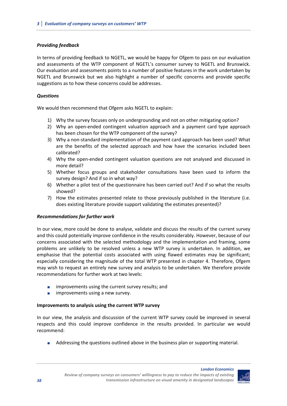## *Providing feedback*

In terms of providing feedback to NGETL, we would be happy for Ofgem to pass on our evaluation and assessments of the WTP component of NGETL's consumer survey to NGETL and Brunswick. Our evaluation and assessments points to a number of positive features in the work undertaken by NGETL and Brunswick but we also highlight a number of specific concerns and provide specific suggestions as to how these concerns could be addresses.

## *Questions*

We would then recommend that Ofgem asks NGETL to explain:

- 1) Why the survey focuses only on undergrounding and not on other mitigating option?
- 2) Why an open-ended contingent valuation approach and a payment card type approach has been chosen for the WTP component of the survey?
- 3) Why a non‐standard implementation of the payment card approach has been used? What are the benefits of the selected approach and how have the scenarios included been calibrated?
- 4) Why the open-ended contingent valuation questions are not analysed and discussed in more detail?
- 5) Whether focus groups and stakeholder consultations have been used to inform the survey design? And if so in what way?
- 6) Whether a pilot test of the questionnaire has been carried out? And if so what the results showed?
- 7) How the estimates presented relate to those previously published in the literature (i.e. does existing literature provide support validating the estimates presented)?

## *Recommendations for further work*

In our view, more could be done to analyse, validate and discuss the results of the current survey and this could potentially improve confidence in the results considerably. However, because of our concerns associated with the selected methodology and the implementation and framing, some problems are unlikely to be resolved unless a new WTP survey is undertaken. In addition, we emphasise that the potential costs associated with using flawed estimates may be significant; especially considering the magnitude of the total WTP presented in chapter 4. Therefore, Ofgem may wish to request an entirely new survey and analysis to be undertaken. We therefore provide recommendations for further work at two levels:

- **improvements using the current survey results; and**
- $\blacksquare$  improvements using a new survey.

## **Improvements to analysis using the current WTP survey**

In our view, the analysis and discussion of the current WTP survey could be improved in several respects and this could improve confidence in the results provided. In particular we would recommend:

Addressing the questions outlined above in the business plan or supporting material.

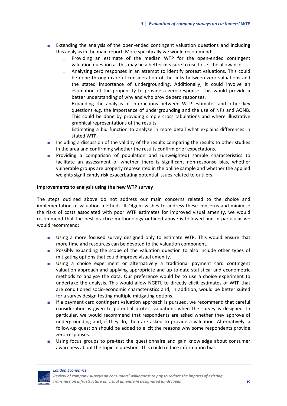- Extending the analysis of the open-ended contingent valuation questions and including this analysis in the main report. More specifically we would recommend:
	- □ Providing an estimate of the median WTP for the open-ended contingent valuation question as this may be a better measure to use to set the allowance.
	- $\Box$  Analysing zero responses in an attempt to identify protest valuations. This could be done through careful consideration of the links between zero valuations and the stated importance of undergrounding. Additionally, it could involve an estimation of the propensity to provide a zero response. This would provide a better understanding of why and who provide zero responses.
	- $\Box$  Expanding the analysis of interactions between WTP estimates and other key questions e.g. the importance of undergrounding and the use of NPs and AONB. This could be done by providing simple cross tabulations and where illustrative graphical representations of the results.
	- $\Box$  Estimating a bid function to analyse in more detail what explains differences in stated WTP.
- Including a discussion of the validity of the results comparing the results to other studies in the area and confirming whether the results confirm prior expectations.
- Providing a comparison of population and (unweighted) sample characteristics to facilitate an assessment of whether there is significant non-response bias, whether vulnerable groups are properly represented in the online sample and whether the applied weights significantly risk exacerbating potential issues related to outliers.

#### **Improvements to analysis using the new WTP survey**

The steps outlined above do not address our main concerns related to the choice and implementation of valuation methods. If Ofgem wishes to address these concerns and minimise the risks of costs associated with poor WTP estimates for improved visual amenity, we would recommend that the best practice methodology outlined above is followed and in particular we would recommend:

- Using a more focused survey designed only to estimate WTP. This would ensure that more time and resources can be devoted to the valuation component.
- **Possibly expanding the scope of the valuation question to also include other types of** mitigating options that could improve visual amenity.
- Using a choice experiment or alternatively a traditional payment card contingent valuation approach and applying appropriate and up‐to‐date statistical and econometric methods to analyse the data. Our preference would be to use a choice experiment to undertake the analysis. This would allow NGETL to directly elicit estimates of WTP that are conditioned socio‐economic characteristics and, in addition, would be better suited for a survey design testing multiple mitigating options.
- If a payment card contingent valuation approach is pursued, we recommend that careful consideration is given to potential protest valuations when the survey is designed. In particular, we would recommend that respondents are asked whether they approve of undergrounding and, if they do, then are asked to provide a valuation. Alternatively, a follow‐up question should be added to elicit the reasons why some respondents provide zero‐responses.
- Using focus groups to pre‐test the questionnaire and gain knowledge about consumer awareness about the topic in question. This could reduce information bias.

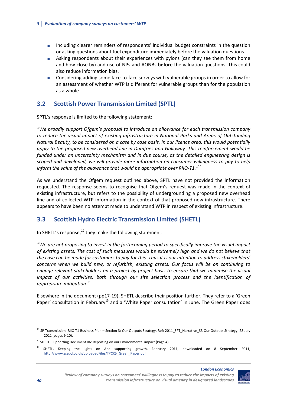- Including clearer reminders of respondents' individual budget constraints in the question or asking questions about fuel expenditure immediately before the valuation questions.
- Asking respondents about their experiences with pylons (can they see them from home and how close by) and use of NPs and AONBs **before** the valuation questions. This could also reduce information bias.
- Considering adding some face‐to‐face surveys with vulnerable groups in order to allow for an assessment of whether WTP is different for vulnerable groups than for the population as a whole.

## **3.2 Scottish Power Transmission Limited (SPTL)**

SPTL's response is limited to the following statement:

*"We broadly support Ofgem's proposal to introduce an allowance for each transmission company to reduce the visual impact of existing infrastructure in National Parks and Areas of Outstanding* Natural Beauty, to be considered on a case by case basis. In our licence area, this would potentially *apply to the proposed new overhead line in Dumfries and Galloway. This reinforcement would be funded under an uncertainty mechanism and in due course, as the detailed engineering design is scoped and developed, we will provide more information on consumer willingness to pay to help inform the value of the allowance that would be appropriate over RIIO‐T1."*<sup>11</sup>

As we understand the Ofgem request outlined above, SPTL have not provided the information requested. The response seems to recognise that Ofgem's request was made in the context of existing infrastructure, but refers to the possibility of undergrounding a proposed new overhead line and of collected WTP information in the context of that proposed new infrastructure. There appears to have been no attempt made to understand WTP in respect of existing infrastructure.

## **3.3 Scottish Hydro Electric Transmission Limited (SHETL)**

In SHETL's response, $^{12}$  they make the following statement:

*"We are not proposing to invest in the forthcoming period to specifically improve the visual impact of existing assets. The cost of such measures would be extremely high and we do not believe that* the case can be made for customers to pay for this. Thus it is our intention to address stakeholders' *concerns when we build new, or refurbish, existing assets. Our focus will be on continuing to engage relevant stakeholders on a project‐by‐project basis to ensure that we minimise the visual impact of our activities, both through our site selection process and the identification of appropriate mitigation."*

Elsewhere in the document (pp17‐19), SHETL describe their position further. They refer to a 'Green Paper' consultation in February<sup>13</sup> and a 'White Paper consultation' in June. The Green Paper does

<sup>13</sup> SHETL, Keeping the lights on And supporting growth, February 2011, downloaded on 8 September 2011, http://www.ssepd.co.uk/uploadedFiles/TPCR5\_Green\_Paper.pdf



<sup>11</sup> SP Transmission, RIIO T1 Business Plan – Section 3: Our Outputs Strategy, Ref: 2011\_SPT\_Narrative\_S3 Our Outputs Strategy, 28 July 2011 (pages 9‐10).

<sup>&</sup>lt;sup>12</sup> SHETL, Supporting Document 06: Reporting on our Environmental impact (Page 4).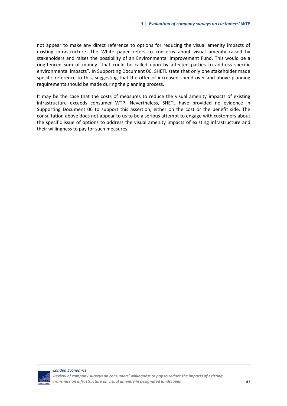not appear to make any direct reference to options for reducing the visual amenity impacts of existing infrastructure. The White paper refers to concerns about visual amenity raised by stakeholders and raises the possibility of an Environmental Improvement Fund. This would be a ring‐fenced sum of money "that could be called upon by affected parties to address specific environmental impacts". In Supporting Document 06, SHETL state that only one stakeholder made specific reference to this, suggesting that the offer of increased spend over and above planning requirements should be made during the planning process.

It may be the case that the costs of measures to reduce the visual amenity impacts of existing infrastructure exceeds consumer WTP. Nevertheless, SHETL have provided no evidence in Supporting Document 06 to support this assertion, either on the cost or the benefit side. The consultation above does not appear to us to be a serious attempt to engage with customers about the specific issue of options to address the visual amenity impacts of existing infrastructure and their willingness to pay for such measures.

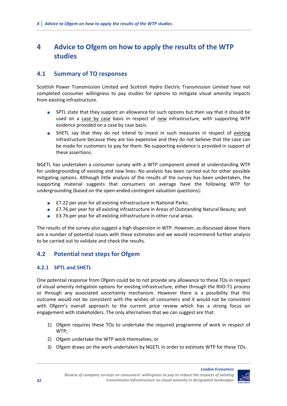## **4 Advice to Ofgem on how to apply the results of the WTP studies**

## **4.1 Summary of TO responses**

Scottish Power Transmission Limited and Scottish Hydro Electric Transmission Limited have not completed consumer willingness to pay studies for options to mitigate visual amenity impacts from existing infrastructure.

- **SPTL state that they support an allowance for such options but then say that it should be** used on a case by case basis in respect of new infrastructure, with supporting WTP evidence provided on a case by case basis.
- **BULFIM** SHETL say that they do not intend to invest in such measures in respect of existing infrastructure because they are too expensive and they do not believe that the case can be made for customers to pay for them. No supporting evidence is provided in support of these assertions.

NGETL has undertaken a consumer survey with a WTP component aimed at understanding WTP for undergrounding of existing and new lines. No analysis has been carried out for other possible mitigating options. Although little analysis of the results of the survey has been undertaken, the supporting material suggests that consumers on average have the following WTP for undergrounding (based on the open‐ended contingent valuation questions):

- £7.22 per year for all existing infrastructure in National Parks;
- £7.76 per year for all existing infrastructure in Areas of Outstanding Natural Beauty; and
- £3.76 per year for all existing infrastructure in other rural areas.

The results of the survey also suggest a high dispersion in WTP. However, as discussed above there are a number of potential issues with these estimates and we would recommend further analysis to be carried out to validate and check the results.

## **4.2 Potential next steps for Ofgem**

## **4.2.1 SPTL and SHETL**

One potential response from Ofgem could be to not provide any allowance to these TOs in respect of visual amenity mitigation options for existing infrastructure, either through the RIIO‐T1 process or through any associated uncertainty mechanism. However there is a possibility that this outcome would not be consistent with the wishes of consumers and it would not be consistent with Ofgem's overall approach to the current price review which has a strong focus on engagement with stakeholders. The only alternatives that we can suggest are that:

- 1) Ofgem requires these TOs to undertake the required programme of work in respect of WTP;
- 2) Ofgem undertake the WTP work themselves; or
- 3) Ofgem draws on the work undertaken by NGETL in order to estimate WTP for these TOs.

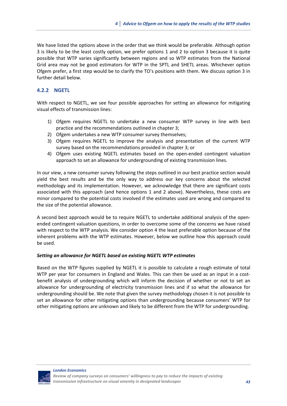We have listed the options above in the order that we think would be preferable. Although option 3 is likely to be the least costly option, we prefer options 1 and 2 to option 3 because it is quite possible that WTP varies significantly between regions and so WTP estimates from the National Grid area may not be good estimators for WTP in the SPTL and SHETL areas. Whichever option Ofgem prefer, a first step would be to clarify the TO's positions with them. We discuss option 3 in further detail below.

## **4.2.2 NGETL**

With respect to NGETL, we see four possible approaches for setting an allowance for mitigating visual effects of transmission lines:

- 1) Ofgem requires NGETL to undertake a new consumer WTP survey in line with best practice and the recommendations outlined in chapter 3;
- 2) Ofgem undertakes a new WTP consumer survey themselves;
- 3) Ofgem requires NGETL to improve the analysis and presentation of the current WTP survey based on the recommendations provided in chapter 3; or
- 4) Ofgem uses existing NGETL estimates based on the open-ended contingent valuation approach to set an allowance for undergrounding of existing transmission lines.

In our view, a new consumer survey following the steps outlined in our best practice section would yield the best results and be the only way to address our key concerns about the selected methodology and its implementation. However, we acknowledge that there are significant costs associated with this approach (and hence options 1 and 2 above). Nevertheless, these costs are minor compared to the potential costs involved if the estimates used are wrong and compared to the size of the potential allowance.

A second best approach would be to require NGETL to undertake additional analysis of the open‐ ended contingent valuation questions, in order to overcome some of the concerns we have raised with respect to the WTP analysis. We consider option 4 the least preferable option because of the inherent problems with the WTP estimates. However, below we outline how this approach could be used.

## *Setting an allowance for NGETL based on existing NGETL WTP estimates*

Based on the WTP figures supplied by NGETL it is possible to calculate a rough estimate of total WTP per year for consumers in England and Wales. This can then be used as an input in a costbenefit analysis of undergrounding which will inform the decision of whether or not to set an allowance for undergrounding of electricity transmission lines and if so what the allowance for undergrounding should be. We note that given the survey methodology chosen it is not possible to set an allowance for other mitigating options than undergrounding because consumers' WTP for other mitigating options are unknown and likely to be different from the WTP for undergrounding.

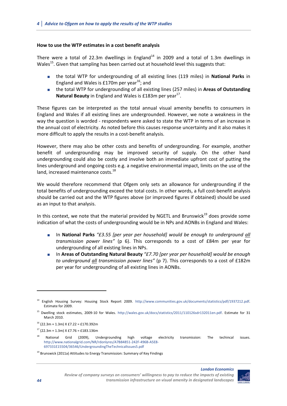#### **How to use the WTP estimates in a cost benefit analysis**

There were a total of 22.3m dwellings in England<sup>14</sup> in 2009 and a total of 1.3m dwellings in Wales<sup>15</sup>. Given that sampling has been carried out at household level this suggests that:

- the total WTP for undergrounding of all existing lines (119 miles) in **National Parks** in England and Wales is £170m per year<sup>16</sup>; and
- the total WTP for undergrounding of all existing lines (257 miles) in **Areas of Outstanding Natural Beauty** in England and Wales is £183m per year<sup>17</sup>.

These figures can be interpreted as the total annual visual amenity benefits to consumers in England and Wales if all existing lines are undergrounded. However, we note a weakness in the way the question is worded ‐ respondents were asked to state the WTP in terms of an increase in the annual cost of electricity. As noted before this causes response uncertainty and it also makes it more difficult to apply the results in a cost-benefit analysis.

However, there may also be other costs and benefits of undergrounding. For example, another benefit of undergrounding may be improved security of supply. On the other hand undergrounding could also be costly and involve both an immediate upfront cost of putting the lines underground and ongoing costs e.g. a negative environmental impact, limits on the use of the land, increased maintenance costs.<sup>18</sup>

We would therefore recommend that Ofgem only sets an allowance for undergrounding if the total benefits of undergrounding exceed the total costs. In other words, a full cost-benefit analysis should be carried out and the WTP figures above (or improved figures if obtained) should be used as an input to that analysis.

In this context, we note that the material provided by NGETL and Brunswick<sup>19</sup> does provide some indication of what the costs of undergrounding would be in NPs and AONBs in England and Wales:

- In **National Parks** *"£3.55 [per year per household] would be enough to underground all transmission power lines"* (p 6). This corresponds to a cost of £84m per year for undergrounding of all existing lines in NPs.
- In **Areas of Outstanding Natural Beauty** *"£7.70 [per year per household] would be enough to underground all transmission power lines"* (p 7). This corresponds to a cost of £182m per year for undergrounding of all existing lines in AONBs.





<sup>14</sup> English Housing Survey: Housing Stock Report 2009. http://www.communities.gov.uk/documents/statistics/pdf/1937212.pdf. Estimate for 2009.

Dwelling stock estimates, 2009-10 for Wales. http://wales.gov.uk/docs/statistics/2011/110126sdr132011en.pdf. Estimate for 31 March 2010.

 $16$  (22.3m + 1.3m) X £7.22 = £170.392m

 $17$  (22.3m + 1.3m) X £7.76 = £183.136m

National Grid (2009), Undergrounding high voltage electricity transmission: The techincal issues. http://www.nationalgrid.com/NR/rdonlyres/A7B84851‐242F‐496B‐A5E8‐ 697331E15504/36546/UndergroundingTheTechnicalIssues5.pdf

 $19$  Brunswick (2011a) Attitudes to Energy Transmission: Summary of Key Findings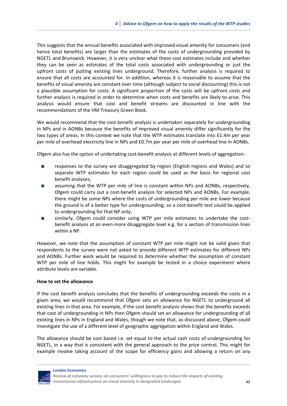This suggests that the annual benefits associated with improved visual amenity for consumers (and hence total benefits) are larger than the estimates of the costs of undergrounding provided by NGETL and Brunswick. However, it is very unclear what these cost estimates include and whether they can be seen as estimates of the total costs associated with undergrounding or just the upfront costs of putting existing lines underground. Therefore, further analysis is required to ensure that all costs are accounted for. In addition, whereas it is reasonable to assume that the benefits of visual amenity are constant over time (although subject to social discounting) this is not a plausible assumption for costs. A significant proportion of the costs will be upfront costs and further analysis is required in order to determine when costs and benefits are likely to arise. This analysis would ensure that cost and benefit streams are discounted in line with the recommendations of the HM Treasury Green Book.

We would recommend that the cost-benefit analysis is undertaken separately for undergrounding in NPs and in AONBs because the benefits of improved visual amenity differ significantly for the two types of areas. In this context we note that the WTP estimates translate into £1.4m per year per mile of overhead electricity line in NPs and £0.7m per year per mile of overhead line in AONBs.

Ofgem also has the option of undertaking cost‐benefit analysis at different levels of aggregation:

- **EXECUTE:** responses to the survey are disaggregated by region (English regions and Wales) and so separate WTP estimates for each region could be used as the basis for regional cost benefit analyses;
- **EXECUTE:** assuming that the WTP per mile of line is constant within NPs and AONBs, respectively, Ofgem could carry out a cost‐benefit analysis for selected NPs and AONBs. For example, there might be some NPs where the costs of undergrounding per mile are lower because the ground is of a better type for undergrounding, so a cost-benefit test could be applied to undergrounding for that NP only;
- similarly, Ofgem could consider using WTP per mile estimates to undertake the costbenefit analysis at an even more disaggregate level e.g. for a section of transmission lines within a NP.

However, we note that the assumption of constant WTP per mile might not be valid given that respondents to the survey were not asked to provide different WTP estimates for different NPs and AONBs. Further work would be required to determine whether the assumption of constant WTP per mile of line holds. This might for example be tested in a choice experiment where attribute levels are variable.

#### **How to set the allowance**

If the cost benefit analysis concludes that the benefits of undergrounding exceeds the costs in a given area, we would recommend that Ofgem sets an allowance for NGETL to underground all existing lines in that area. For example, if the cost benefit analysis shows that the benefits exceeds that cost of undergrounding in NPs then Ofgem should set an allowance for undergrounding of all existing lines in NPs in England and Wales, though we note that, as discussed above, Ofgem could investigate the use of a different level of geographic aggregation within England and Wales.

The allowance should be cost based i.e. set equal to the actual cash costs of undergrounding for NGETL, in a way that is consistent with the general approach to the price control. This might for example involve taking account of the scope for efficiency gains and allowing a return on any

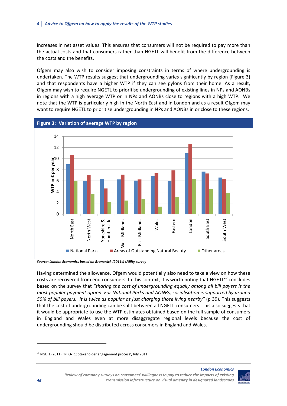increases in net asset values. This ensures that consumers will not be required to pay more than the actual costs and that consumers rather than NGETL will benefit from the difference between the costs and the benefits.

Ofgem may also wish to consider imposing constraints in terms of where undergrounding is undertaken. The WTP results suggest that undergrounding varies significantly by region (Figure 3) and that respondents have a higher WTP if they can see pylons from their home. As a result, Ofgem may wish to require NGETL to prioritise undergrounding of existing lines in NPs and AONBs in regions with a high average WTP or in NPs and AONBs close to regions with a high WTP. We note that the WTP is particularly high in the North East and in London and as a result Ofgem may want to require NGETL to prioritise undergrounding in NPs and AONBs in or close to these regions.



*Source: London Economics based on Brunswick (2011c) Utility survey*

Having determined the allowance, Ofgem would potentially also need to take a view on how these costs are recovered from end consumers. In this context, it is worth noting that NGETL<sup>20</sup> concludes based on the survey that *"sharing the cost of undergrounding equally among all bill payers is the most popular payment option. For National Parks and AONBs, socialisation is supported by around 50% of bill payers. It is twice as popular as just charging those living nearby"* (p 39)*.* This suggests that the cost of undergrounding can be split between all NGETL consumers. This also suggests that it would be appropriate to use the WTP estimates obtained based on the full sample of consumers in England and Wales even at more disaggregate regional levels because the cost of undergrounding should be distributed across consumers in England and Wales.



*London Economics*

<sup>&</sup>lt;sup>20</sup> NGETL (2011), 'RIIO-T1: Stakeholder engagement process', July 2011.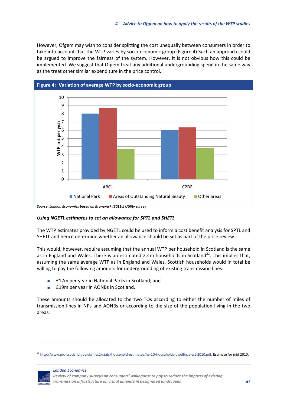However, Ofgem may wish to consider splitting the cost unequally between consumers in order to take into account that the WTP varies by socio‐economic group (Figure 4).Such an approach could be argued to improve the fairness of the system. However, it is not obvious how this could be implemented. We suggest that Ofgem treat any additional undergrounding spend in the same way as the treat other similar expenditure in the price control.



*Source: London Economics based on Brunswick (2011c) Utility survey*

## *Using NGETL estimates to set an allowance for SPTL and SHETL*

The WTP estimates provided by NGETL could be used to inform a cost benefit analysis for SPTL and SHETL and hence determine whether an allowance should be set as part of the price review.

This would, however, require assuming that the annual WTP per household in Scotland is the same as in England and Wales. There is an estimated 2.4m households in Scotland<sup>21</sup>. This implies that, assuming the same average WTP as in England and Wales, Scottish households would in total be willing to pay the following amounts for undergrounding of existing transmission lines:

- £17m per year in National Parks in Scotland; and
- **E19m per year in AONBs in Scotland.**

These amounts should be allocated to the two TOs according to either the number of miles of transmission lines in NPs and AONBs or according to the size of the population living in the two areas.

<sup>21</sup> http://www.gro‐scotland.gov.uk/files2/stats/household‐estimates/he‐10/households‐dwellings‐est‐2010.pdf. Estimate for mid 2010.



*Review of company surveys on consumers' willingness to pay to reduce the impacts of existing transmission infrastructure on visual amenity in designated landscapes 47*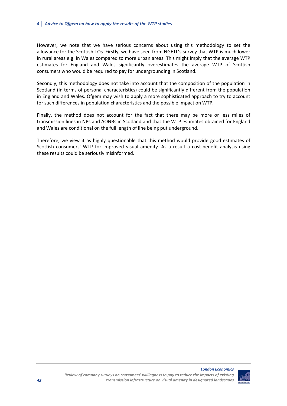However, we note that we have serious concerns about using this methodology to set the allowance for the Scottish TOs. Firstly, we have seen from NGETL's survey that WTP is much lower in rural areas e.g. in Wales compared to more urban areas. This might imply that the average WTP estimates for England and Wales significantly overestimates the average WTP of Scottish consumers who would be required to pay for undergrounding in Scotland.

Secondly, this methodology does not take into account that the composition of the population in Scotland (in terms of personal characteristics) could be significantly different from the population in England and Wales. Ofgem may wish to apply a more sophisticated approach to try to account for such differences in population characteristics and the possible impact on WTP.

Finally, the method does not account for the fact that there may be more or less miles of transmission lines in NPs and AONBs in Scotland and that the WTP estimates obtained for England and Wales are conditional on the full length of line being put underground.

Therefore, we view it as highly questionable that this method would provide good estimates of Scottish consumers' WTP for improved visual amenity. As a result a cost-benefit analysis using these results could be seriously misinformed.